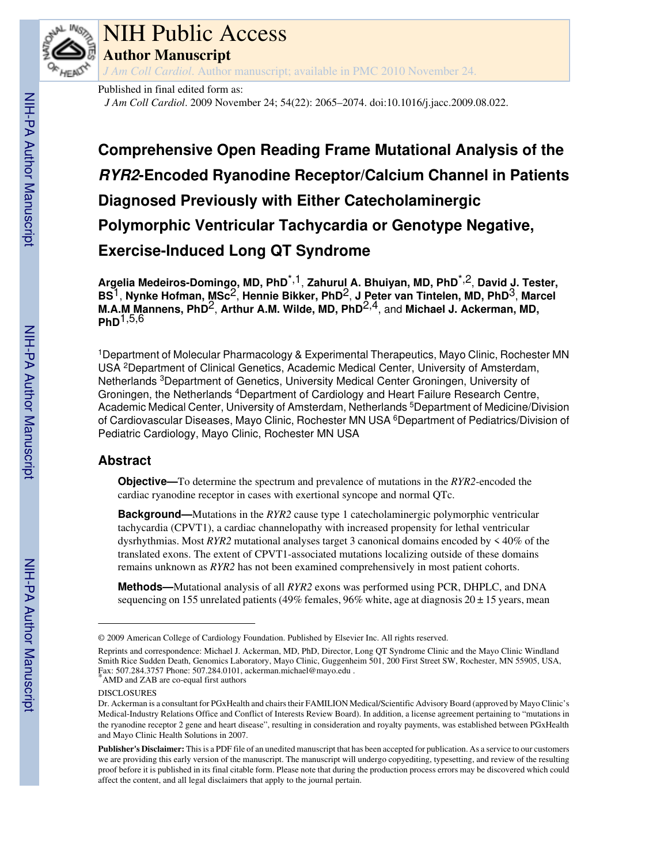

# NIH Public Access

**Author Manuscript**

*J Am Coll Cardiol*. Author manuscript; available in PMC 2010 November 24.

Published in final edited form as:

*J Am Coll Cardiol*. 2009 November 24; 54(22): 2065–2074. doi:10.1016/j.jacc.2009.08.022.

**Comprehensive Open Reading Frame Mutational Analysis of the RYR2-Encoded Ryanodine Receptor/Calcium Channel in Patients Diagnosed Previously with Either Catecholaminergic Polymorphic Ventricular Tachycardia or Genotype Negative, Exercise-Induced Long QT Syndrome**

**Argelia Medeiros-Domingo, MD, PhD**\*,1, **Zahurul A. Bhuiyan, MD, PhD**\*,2, **David J. Tester, BS**1, **Nynke Hofman, MSc**2, **Hennie Bikker, PhD**2, **J Peter van Tintelen, MD, PhD**3, **Marcel M.A.M Mannens, PhD**2, **Arthur A.M. Wilde, MD, PhD**2,4, and **Michael J. Ackerman, MD, PhD**1,5,6

<sup>1</sup>Department of Molecular Pharmacology & Experimental Therapeutics, Mayo Clinic, Rochester MN USA <sup>2</sup>Department of Clinical Genetics, Academic Medical Center, University of Amsterdam, Netherlands <sup>3</sup>Department of Genetics, University Medical Center Groningen, University of Groningen, the Netherlands <sup>4</sup>Department of Cardiology and Heart Failure Research Centre, Academic Medical Center, University of Amsterdam, Netherlands <sup>5</sup>Department of Medicine/Division of Cardiovascular Diseases, Mayo Clinic, Rochester MN USA <sup>6</sup>Department of Pediatrics/Division of Pediatric Cardiology, Mayo Clinic, Rochester MN USA

## **Abstract**

**Objective—**To determine the spectrum and prevalence of mutations in the *RYR2*-encoded the cardiac ryanodine receptor in cases with exertional syncope and normal QTc.

**Background—**Mutations in the *RYR2* cause type 1 catecholaminergic polymorphic ventricular tachycardia (CPVT1), a cardiac channelopathy with increased propensity for lethal ventricular dysrhythmias. Most *RYR2* mutational analyses target 3 canonical domains encoded by < 40% of the translated exons. The extent of CPVT1-associated mutations localizing outside of these domains remains unknown as *RYR2* has not been examined comprehensively in most patient cohorts.

**Methods—**Mutational analysis of all *RYR2* exons was performed using PCR, DHPLC, and DNA sequencing on 155 unrelated patients (49% females, 96% white, age at diagnosis  $20 \pm 15$  years, mean

<sup>© 2009</sup> American College of Cardiology Foundation. Published by Elsevier Inc. All rights reserved.

Reprints and correspondence: Michael J. Ackerman, MD, PhD, Director, Long QT Syndrome Clinic and the Mayo Clinic Windland Smith Rice Sudden Death, Genomics Laboratory, Mayo Clinic, Guggenheim 501, 200 First Street SW, Rochester, MN 55905, USA, Fax: 507.284.3757 Phone: 507.284.0101, ackerman.michael@mayo.edu . \*AMD and ZAB are co-equal first authors

DISCLOSURES

Dr. Ackerman is a consultant for PGxHealth and chairs their FAMILION Medical/Scientific Advisory Board (approved by Mayo Clinic's Medical-Industry Relations Office and Conflict of Interests Review Board). In addition, a license agreement pertaining to "mutations in the ryanodine receptor 2 gene and heart disease", resulting in consideration and royalty payments, was established between PGxHealth and Mayo Clinic Health Solutions in 2007.

**Publisher's Disclaimer:** This is a PDF file of an unedited manuscript that has been accepted for publication. As a service to our customers we are providing this early version of the manuscript. The manuscript will undergo copyediting, typesetting, and review of the resulting proof before it is published in its final citable form. Please note that during the production process errors may be discovered which could affect the content, and all legal disclaimers that apply to the journal pertain.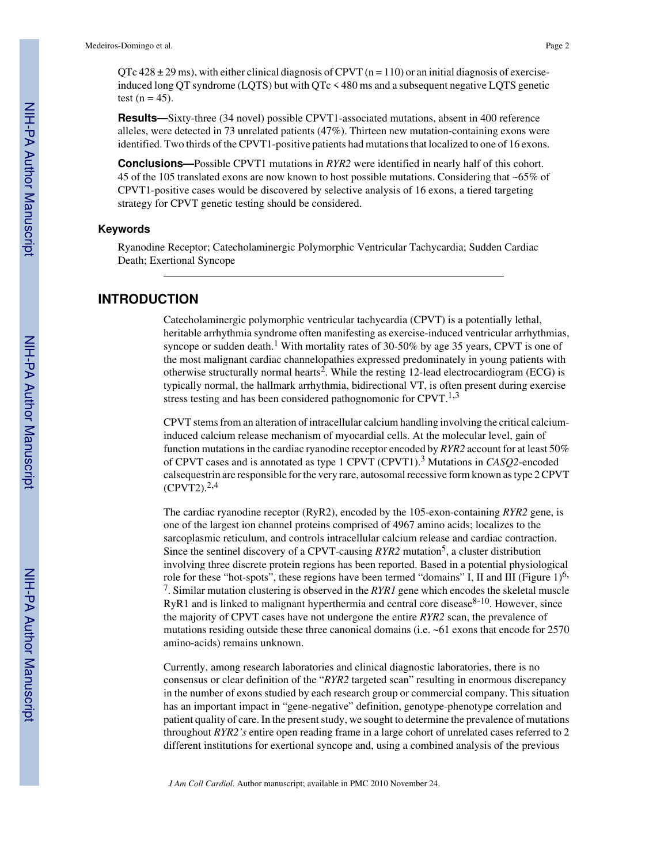$\overline{O}$ Tc 428 ± 29 ms), with either clinical diagnosis of CPVT (n = 110) or an initial diagnosis of exerciseinduced long QT syndrome (LQTS) but with QTc < 480 ms and a subsequent negative LQTS genetic test  $(n = 45)$ .

**Results—**Sixty-three (34 novel) possible CPVT1-associated mutations, absent in 400 reference alleles, were detected in 73 unrelated patients (47%). Thirteen new mutation-containing exons were identified. Two thirds of the CPVT1-positive patients had mutations that localized to one of 16 exons.

**Conclusions—**Possible CPVT1 mutations in *RYR2* were identified in nearly half of this cohort. 45 of the 105 translated exons are now known to host possible mutations. Considering that ~65% of CPVT1-positive cases would be discovered by selective analysis of 16 exons, a tiered targeting strategy for CPVT genetic testing should be considered.

### **Keywords**

Ryanodine Receptor; Catecholaminergic Polymorphic Ventricular Tachycardia; Sudden Cardiac Death; Exertional Syncope

### **INTRODUCTION**

Catecholaminergic polymorphic ventricular tachycardia (CPVT) is a potentially lethal, heritable arrhythmia syndrome often manifesting as exercise-induced ventricular arrhythmias, syncope or sudden death.<sup>1</sup> With mortality rates of 30-50% by age 35 years, CPVT is one of the most malignant cardiac channelopathies expressed predominately in young patients with otherwise structurally normal hearts<sup>2</sup>. While the resting 12-lead electrocardiogram (ECG) is typically normal, the hallmark arrhythmia, bidirectional VT, is often present during exercise stress testing and has been considered pathognomonic for  $CPVT$ <sup>1,3</sup>

CPVT stems from an alteration of intracellular calcium handling involving the critical calciuminduced calcium release mechanism of myocardial cells. At the molecular level, gain of function mutations in the cardiac ryanodine receptor encoded by *RYR2* account for at least 50% of CPVT cases and is annotated as type 1 CPVT (CPVT1).<sup>3</sup> Mutations in *CASQ2*-encoded calsequestrin are responsible for the very rare, autosomal recessive form known as type 2 CPVT  $(CPVT2).^{2,4}$ 

The cardiac ryanodine receptor (RyR2), encoded by the 105-exon-containing *RYR2* gene, is one of the largest ion channel proteins comprised of 4967 amino acids; localizes to the sarcoplasmic reticulum, and controls intracellular calcium release and cardiac contraction. Since the sentinel discovery of a CPVT-causing  $RYR2$  mutation<sup>5</sup>, a cluster distribution involving three discrete protein regions has been reported. Based in a potential physiological role for these "hot-spots", these regions have been termed "domains" I, II and III (Figure 1)<sup>6,</sup> 7 . Similar mutation clustering is observed in the *RYR1* gene which encodes the skeletal muscle  $RyR1$  and is linked to malignant hyperthermia and central core disease<sup>8-10</sup>. However, since the majority of CPVT cases have not undergone the entire *RYR2* scan, the prevalence of mutations residing outside these three canonical domains (i.e. ~61 exons that encode for 2570 amino-acids) remains unknown.

Currently, among research laboratories and clinical diagnostic laboratories, there is no consensus or clear definition of the "*RYR2* targeted scan" resulting in enormous discrepancy in the number of exons studied by each research group or commercial company. This situation has an important impact in "gene-negative" definition, genotype-phenotype correlation and patient quality of care. In the present study, we sought to determine the prevalence of mutations throughout *RYR2's* entire open reading frame in a large cohort of unrelated cases referred to 2 different institutions for exertional syncope and, using a combined analysis of the previous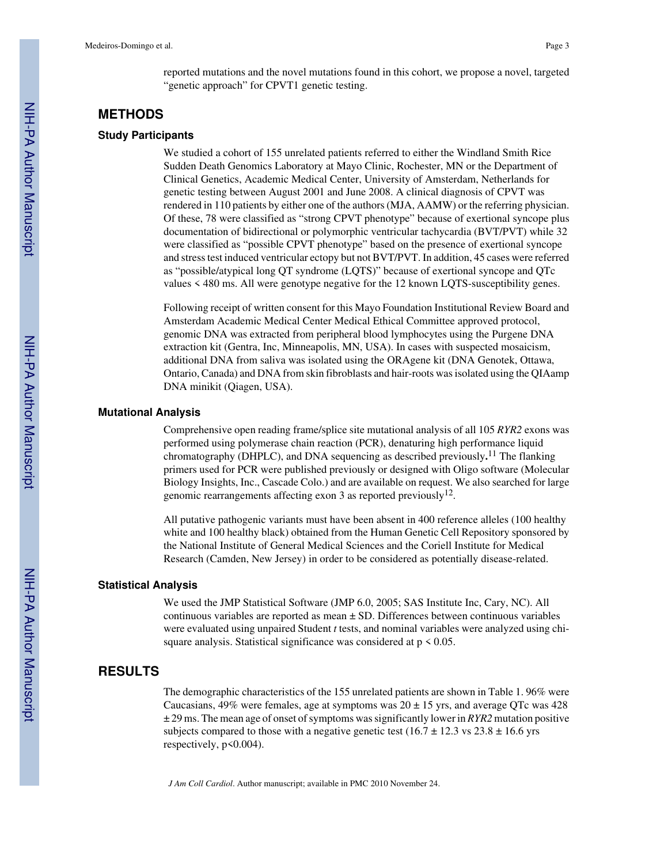reported mutations and the novel mutations found in this cohort, we propose a novel, targeted "genetic approach" for CPVT1 genetic testing.

### **METHODS**

### **Study Participants**

We studied a cohort of 155 unrelated patients referred to either the Windland Smith Rice Sudden Death Genomics Laboratory at Mayo Clinic, Rochester, MN or the Department of Clinical Genetics, Academic Medical Center, University of Amsterdam, Netherlands for genetic testing between August 2001 and June 2008. A clinical diagnosis of CPVT was rendered in 110 patients by either one of the authors (MJA, AAMW) or the referring physician. Of these, 78 were classified as "strong CPVT phenotype" because of exertional syncope plus documentation of bidirectional or polymorphic ventricular tachycardia (BVT/PVT) while 32 were classified as "possible CPVT phenotype" based on the presence of exertional syncope and stress test induced ventricular ectopy but not BVT/PVT. In addition, 45 cases were referred as "possible/atypical long QT syndrome (LQTS)" because of exertional syncope and QTc values < 480 ms. All were genotype negative for the 12 known LQTS-susceptibility genes.

Following receipt of written consent for this Mayo Foundation Institutional Review Board and Amsterdam Academic Medical Center Medical Ethical Committee approved protocol, genomic DNA was extracted from peripheral blood lymphocytes using the Purgene DNA extraction kit (Gentra, Inc, Minneapolis, MN, USA). In cases with suspected mosaicism, additional DNA from saliva was isolated using the ORAgene kit (DNA Genotek, Ottawa, Ontario, Canada) and DNA from skin fibroblasts and hair-roots was isolated using the QIAamp DNA minikit (Qiagen, USA).

### **Mutational Analysis**

Comprehensive open reading frame/splice site mutational analysis of all 105 *RYR2* exons was performed using polymerase chain reaction (PCR), denaturing high performance liquid chromatography (DHPLC), and DNA sequencing as described previously**.** <sup>11</sup> The flanking primers used for PCR were published previously or designed with Oligo software (Molecular Biology Insights, Inc., Cascade Colo.) and are available on request. We also searched for large genomic rearrangements affecting exon 3 as reported previously<sup>12</sup>.

All putative pathogenic variants must have been absent in 400 reference alleles (100 healthy white and 100 healthy black) obtained from the Human Genetic Cell Repository sponsored by the National Institute of General Medical Sciences and the Coriell Institute for Medical Research (Camden, New Jersey) in order to be considered as potentially disease-related.

### **Statistical Analysis**

We used the JMP Statistical Software (JMP 6.0, 2005; SAS Institute Inc, Cary, NC). All continuous variables are reported as mean ± SD. Differences between continuous variables were evaluated using unpaired Student *t* tests, and nominal variables were analyzed using chisquare analysis. Statistical significance was considered at  $p \le 0.05$ .

### **RESULTS**

The demographic characteristics of the 155 unrelated patients are shown in Table 1. 96% were Caucasians,  $49\%$  were females, age at symptoms was  $20 \pm 15$  yrs, and average QTc was 428 ± 29 ms. The mean age of onset of symptoms was significantly lower in *RYR2* mutation positive subjects compared to those with a negative genetic test ( $16.7 \pm 12.3$  vs  $23.8 \pm 16.6$  yrs respectively, p<0.004).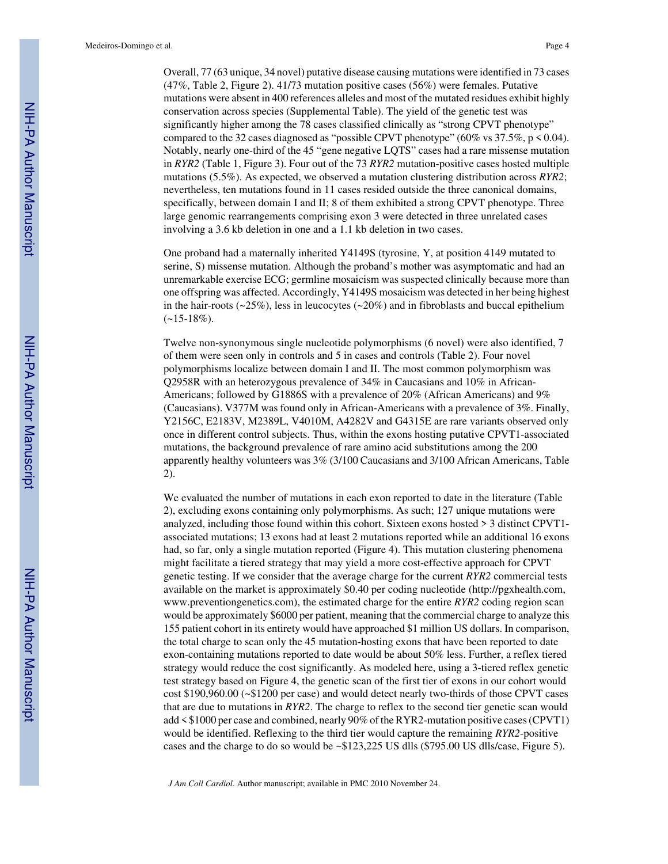Overall, 77 (63 unique, 34 novel) putative disease causing mutations were identified in 73 cases (47%, Table 2, Figure 2). 41/73 mutation positive cases (56%) were females. Putative mutations were absent in 400 references alleles and most of the mutated residues exhibit highly conservation across species (Supplemental Table). The yield of the genetic test was significantly higher among the 78 cases classified clinically as "strong CPVT phenotype" compared to the 32 cases diagnosed as "possible CPVT phenotype" (60% vs  $37.5\%$ , p < 0.04). Notably, nearly one-third of the 45 "gene negative LQTS" cases had a rare missense mutation in *RYR2* (Table 1, Figure 3). Four out of the 73 *RYR2* mutation-positive cases hosted multiple mutations (5.5%). As expected, we observed a mutation clustering distribution across *RYR2*; nevertheless, ten mutations found in 11 cases resided outside the three canonical domains, specifically, between domain I and II; 8 of them exhibited a strong CPVT phenotype. Three large genomic rearrangements comprising exon 3 were detected in three unrelated cases involving a 3.6 kb deletion in one and a 1.1 kb deletion in two cases.

One proband had a maternally inherited Y4149S (tyrosine, Y, at position 4149 mutated to serine, S) missense mutation. Although the proband's mother was asymptomatic and had an unremarkable exercise ECG; germline mosaicism was suspected clinically because more than one offspring was affected. Accordingly, Y4149S mosaicism was detected in her being highest in the hair-roots  $(\sim 25\%)$ , less in leucocytes  $(\sim 20\%)$  and in fibroblasts and buccal epithelium  $(-15-18\%).$ 

Twelve non-synonymous single nucleotide polymorphisms (6 novel) were also identified, 7 of them were seen only in controls and 5 in cases and controls (Table 2). Four novel polymorphisms localize between domain I and II. The most common polymorphism was Q2958R with an heterozygous prevalence of 34% in Caucasians and 10% in African-Americans; followed by G1886S with a prevalence of 20% (African Americans) and 9% (Caucasians). V377M was found only in African-Americans with a prevalence of 3%. Finally, Y2156C, E2183V, M2389L, V4010M, A4282V and G4315E are rare variants observed only once in different control subjects. Thus, within the exons hosting putative CPVT1-associated mutations, the background prevalence of rare amino acid substitutions among the 200 apparently healthy volunteers was 3% (3/100 Caucasians and 3/100 African Americans, Table 2).

We evaluated the number of mutations in each exon reported to date in the literature (Table 2), excluding exons containing only polymorphisms. As such; 127 unique mutations were analyzed, including those found within this cohort. Sixteen exons hosted > 3 distinct CPVT1 associated mutations; 13 exons had at least 2 mutations reported while an additional 16 exons had, so far, only a single mutation reported (Figure 4). This mutation clustering phenomena might facilitate a tiered strategy that may yield a more cost-effective approach for CPVT genetic testing. If we consider that the average charge for the current *RYR2* commercial tests available on the market is approximately \$0.40 per coding nucleotide (http://pgxhealth.com, www.preventiongenetics.com), the estimated charge for the entire *RYR2* coding region scan would be approximately \$6000 per patient, meaning that the commercial charge to analyze this 155 patient cohort in its entirety would have approached \$1 million US dollars. In comparison, the total charge to scan only the 45 mutation-hosting exons that have been reported to date exon-containing mutations reported to date would be about 50% less. Further, a reflex tiered strategy would reduce the cost significantly. As modeled here, using a 3-tiered reflex genetic test strategy based on Figure 4, the genetic scan of the first tier of exons in our cohort would cost \$190,960.00 (~\$1200 per case) and would detect nearly two-thirds of those CPVT cases that are due to mutations in *RYR2*. The charge to reflex to the second tier genetic scan would add < \$1000 per case and combined, nearly 90% of the RYR2-mutation positive cases (CPVT1) would be identified. Reflexing to the third tier would capture the remaining *RYR2*-positive cases and the charge to do so would be ~\$123,225 US dlls (\$795.00 US dlls/case, Figure 5).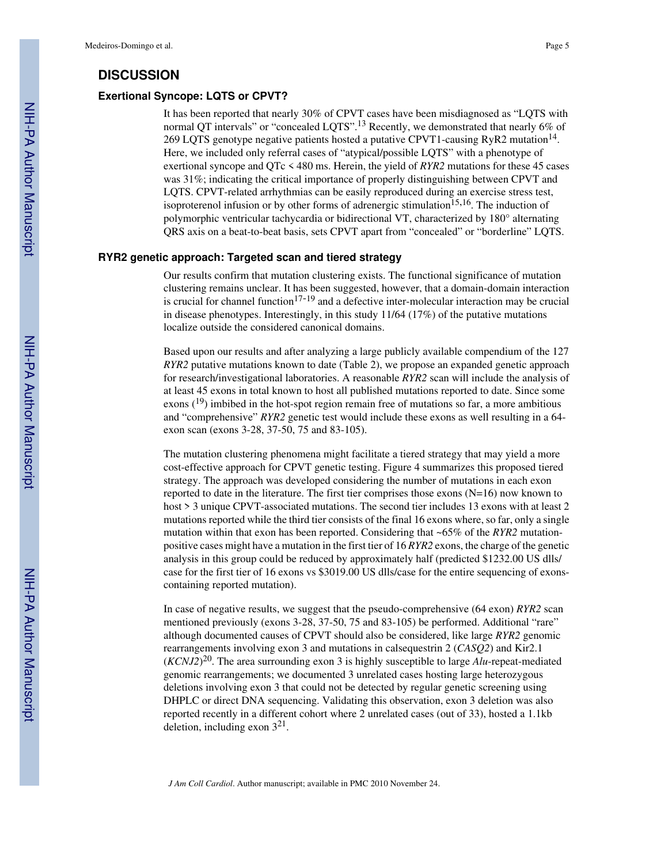### **DISCUSSION**

### **Exertional Syncope: LQTS or CPVT?**

It has been reported that nearly 30% of CPVT cases have been misdiagnosed as "LQTS with normal QT intervals" or "concealed LQTS".<sup>13</sup> Recently, we demonstrated that nearly 6% of 269 LQTS genotype negative patients hosted a putative CPVT1-causing RyR2 mutation<sup>14</sup>. Here, we included only referral cases of "atypical/possible LQTS" with a phenotype of exertional syncope and QTc < 480 ms. Herein, the yield of *RYR2* mutations for these 45 cases was 31%; indicating the critical importance of properly distinguishing between CPVT and LQTS. CPVT-related arrhythmias can be easily reproduced during an exercise stress test, isoproterenol infusion or by other forms of adrenergic stimulation<sup>15,16</sup>. The induction of polymorphic ventricular tachycardia or bidirectional VT, characterized by 180° alternating QRS axis on a beat-to-beat basis, sets CPVT apart from "concealed" or "borderline" LQTS.

### **RYR2 genetic approach: Targeted scan and tiered strategy**

Our results confirm that mutation clustering exists. The functional significance of mutation clustering remains unclear. It has been suggested, however, that a domain-domain interaction is crucial for channel function $17-19$  and a defective inter-molecular interaction may be crucial in disease phenotypes. Interestingly, in this study 11/64 (17%) of the putative mutations localize outside the considered canonical domains.

Based upon our results and after analyzing a large publicly available compendium of the 127 *RYR2* putative mutations known to date (Table 2), we propose an expanded genetic approach for research/investigational laboratories. A reasonable *RYR2* scan will include the analysis of at least 45 exons in total known to host all published mutations reported to date. Since some exons  $(19)$  imbibed in the hot-spot region remain free of mutations so far, a more ambitious and "comprehensive" *RYR2* genetic test would include these exons as well resulting in a 64 exon scan (exons 3-28, 37-50, 75 and 83-105).

The mutation clustering phenomena might facilitate a tiered strategy that may yield a more cost-effective approach for CPVT genetic testing. Figure 4 summarizes this proposed tiered strategy. The approach was developed considering the number of mutations in each exon reported to date in the literature. The first tier comprises those exons (N=16) now known to host > 3 unique CPVT-associated mutations. The second tier includes 13 exons with at least 2 mutations reported while the third tier consists of the final 16 exons where, so far, only a single mutation within that exon has been reported. Considering that ~65% of the *RYR2* mutationpositive cases might have a mutation in the first tier of 16 *RYR2* exons, the charge of the genetic analysis in this group could be reduced by approximately half (predicted \$1232.00 US dlls/ case for the first tier of 16 exons vs \$3019.00 US dlls/case for the entire sequencing of exonscontaining reported mutation).

In case of negative results, we suggest that the pseudo-comprehensive (64 exon) *RYR2* scan mentioned previously (exons 3-28, 37-50, 75 and 83-105) be performed. Additional "rare" although documented causes of CPVT should also be considered, like large *RYR2* genomic rearrangements involving exon 3 and mutations in calsequestrin 2 (*CASQ2*) and Kir2.1 (*KCNJ2*) <sup>20</sup>. The area surrounding exon 3 is highly susceptible to large *Alu*-repeat-mediated genomic rearrangements; we documented 3 unrelated cases hosting large heterozygous deletions involving exon 3 that could not be detected by regular genetic screening using DHPLC or direct DNA sequencing. Validating this observation, exon 3 deletion was also reported recently in a different cohort where 2 unrelated cases (out of 33), hosted a 1.1kb deletion, including exon  $3^{21}$ .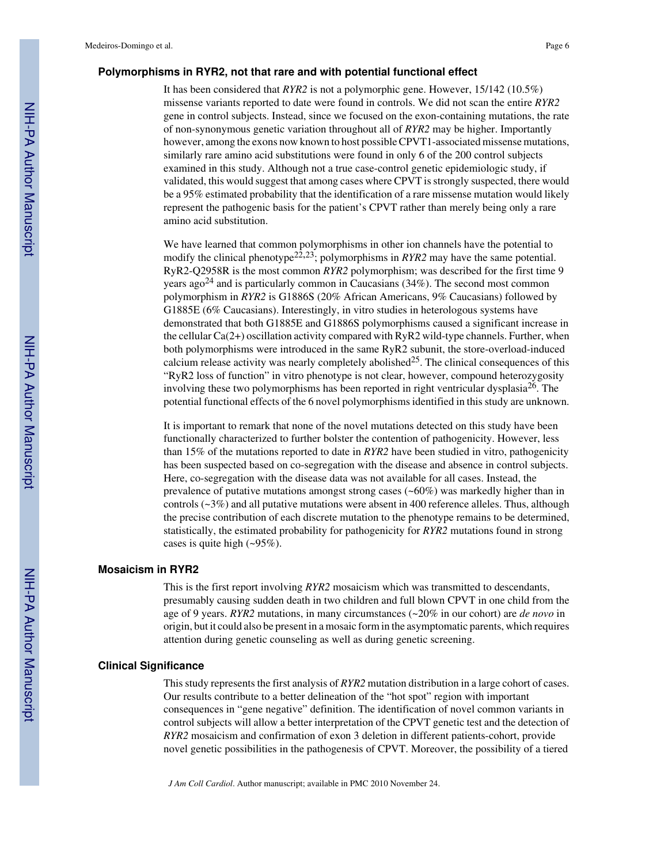### **Polymorphisms in RYR2, not that rare and with potential functional effect**

It has been considered that *RYR2* is not a polymorphic gene. However, 15/142 (10.5%) missense variants reported to date were found in controls. We did not scan the entire *RYR2* gene in control subjects. Instead, since we focused on the exon-containing mutations, the rate of non-synonymous genetic variation throughout all of *RYR2* may be higher. Importantly however, among the exons now known to host possible CPVT1-associated missense mutations, similarly rare amino acid substitutions were found in only 6 of the 200 control subjects examined in this study. Although not a true case-control genetic epidemiologic study, if validated, this would suggest that among cases where CPVT is strongly suspected, there would be a 95% estimated probability that the identification of a rare missense mutation would likely represent the pathogenic basis for the patient's CPVT rather than merely being only a rare amino acid substitution.

We have learned that common polymorphisms in other ion channels have the potential to modify the clinical phenotype<sup>22,23</sup>; polymorphisms in *RYR2* may have the same potential. RyR2-Q2958R is the most common *RYR2* polymorphism; was described for the first time 9 years ago<sup>24</sup> and is particularly common in Caucasians  $(34\%)$ . The second most common polymorphism in *RYR2* is G1886S (20% African Americans, 9% Caucasians) followed by G1885E (6% Caucasians). Interestingly, in vitro studies in heterologous systems have demonstrated that both G1885E and G1886S polymorphisms caused a significant increase in the cellular Ca(2+) oscillation activity compared with RyR2 wild-type channels. Further, when both polymorphisms were introduced in the same RyR2 subunit, the store-overload-induced calcium release activity was nearly completely abolished<sup>25</sup>. The clinical consequences of this "RyR2 loss of function" in vitro phenotype is not clear, however, compound heterozygosity involving these two polymorphisms has been reported in right ventricular dysplasia<sup>26</sup>. The potential functional effects of the 6 novel polymorphisms identified in this study are unknown.

It is important to remark that none of the novel mutations detected on this study have been functionally characterized to further bolster the contention of pathogenicity. However, less than 15% of the mutations reported to date in *RYR2* have been studied in vitro, pathogenicity has been suspected based on co-segregation with the disease and absence in control subjects. Here, co-segregation with the disease data was not available for all cases. Instead, the prevalence of putative mutations amongst strong cases (~60%) was markedly higher than in controls (~3%) and all putative mutations were absent in 400 reference alleles. Thus, although the precise contribution of each discrete mutation to the phenotype remains to be determined, statistically, the estimated probability for pathogenicity for *RYR2* mutations found in strong cases is quite high (~95%).

### **Mosaicism in RYR2**

This is the first report involving *RYR2* mosaicism which was transmitted to descendants, presumably causing sudden death in two children and full blown CPVT in one child from the age of 9 years. *RYR2* mutations, in many circumstances (~20% in our cohort) are *de novo* in origin, but it could also be present in a mosaic form in the asymptomatic parents, which requires attention during genetic counseling as well as during genetic screening.

### **Clinical Significance**

This study represents the first analysis of *RYR2* mutation distribution in a large cohort of cases. Our results contribute to a better delineation of the "hot spot" region with important consequences in "gene negative" definition. The identification of novel common variants in control subjects will allow a better interpretation of the CPVT genetic test and the detection of *RYR2* mosaicism and confirmation of exon 3 deletion in different patients-cohort, provide novel genetic possibilities in the pathogenesis of CPVT. Moreover, the possibility of a tiered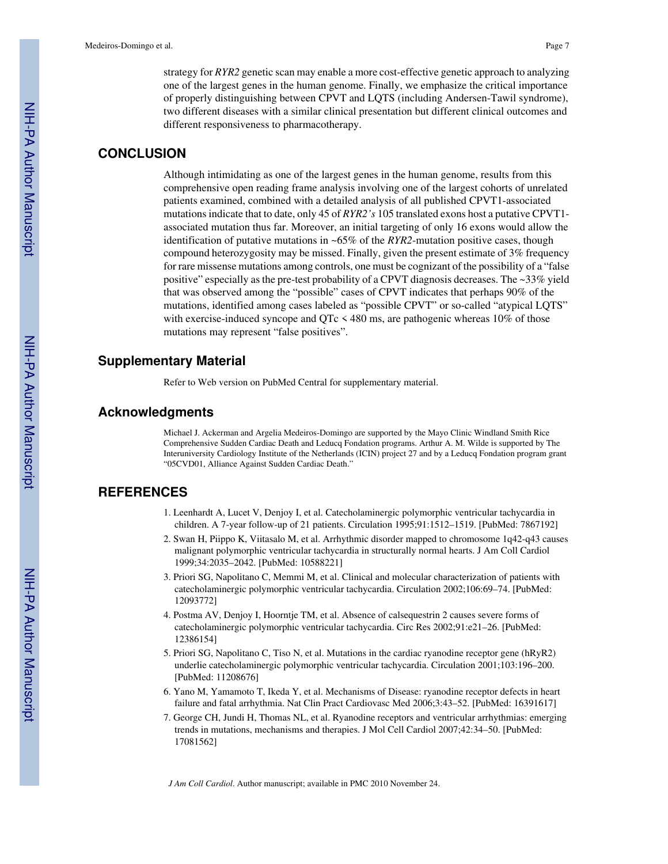strategy for *RYR2* genetic scan may enable a more cost-effective genetic approach to analyzing one of the largest genes in the human genome. Finally, we emphasize the critical importance of properly distinguishing between CPVT and LQTS (including Andersen-Tawil syndrome), two different diseases with a similar clinical presentation but different clinical outcomes and different responsiveness to pharmacotherapy.

### **CONCLUSION**

Although intimidating as one of the largest genes in the human genome, results from this comprehensive open reading frame analysis involving one of the largest cohorts of unrelated patients examined, combined with a detailed analysis of all published CPVT1-associated mutations indicate that to date, only 45 of *RYR2's* 105 translated exons host a putative CPVT1 associated mutation thus far. Moreover, an initial targeting of only 16 exons would allow the identification of putative mutations in ~65% of the *RYR2*-mutation positive cases, though compound heterozygosity may be missed. Finally, given the present estimate of 3% frequency for rare missense mutations among controls, one must be cognizant of the possibility of a "false positive" especially as the pre-test probability of a CPVT diagnosis decreases. The ~33% yield that was observed among the "possible" cases of CPVT indicates that perhaps 90% of the mutations, identified among cases labeled as "possible CPVT" or so-called "atypical LQTS" with exercise-induced syncope and QTc  $\leq$  480 ms, are pathogenic whereas 10% of those mutations may represent "false positives".

### **Supplementary Material**

Refer to Web version on PubMed Central for supplementary material.

### **Acknowledgments**

Michael J. Ackerman and Argelia Medeiros-Domingo are supported by the Mayo Clinic Windland Smith Rice Comprehensive Sudden Cardiac Death and Leducq Fondation programs. Arthur A. M. Wilde is supported by The Interuniversity Cardiology Institute of the Netherlands (ICIN) project 27 and by a Leducq Fondation program grant "05CVD01, Alliance Against Sudden Cardiac Death."

### **REFERENCES**

- 1. Leenhardt A, Lucet V, Denjoy I, et al. Catecholaminergic polymorphic ventricular tachycardia in children. A 7-year follow-up of 21 patients. Circulation 1995;91:1512–1519. [PubMed: 7867192]
- 2. Swan H, Piippo K, Viitasalo M, et al. Arrhythmic disorder mapped to chromosome 1q42-q43 causes malignant polymorphic ventricular tachycardia in structurally normal hearts. J Am Coll Cardiol 1999;34:2035–2042. [PubMed: 10588221]
- 3. Priori SG, Napolitano C, Memmi M, et al. Clinical and molecular characterization of patients with catecholaminergic polymorphic ventricular tachycardia. Circulation 2002;106:69–74. [PubMed: 12093772]
- 4. Postma AV, Denjoy I, Hoorntje TM, et al. Absence of calsequestrin 2 causes severe forms of catecholaminergic polymorphic ventricular tachycardia. Circ Res 2002;91:e21–26. [PubMed: 12386154]
- 5. Priori SG, Napolitano C, Tiso N, et al. Mutations in the cardiac ryanodine receptor gene (hRyR2) underlie catecholaminergic polymorphic ventricular tachycardia. Circulation 2001;103:196–200. [PubMed: 11208676]
- 6. Yano M, Yamamoto T, Ikeda Y, et al. Mechanisms of Disease: ryanodine receptor defects in heart failure and fatal arrhythmia. Nat Clin Pract Cardiovasc Med 2006;3:43–52. [PubMed: 16391617]
- 7. George CH, Jundi H, Thomas NL, et al. Ryanodine receptors and ventricular arrhythmias: emerging trends in mutations, mechanisms and therapies. J Mol Cell Cardiol 2007;42:34–50. [PubMed: 17081562]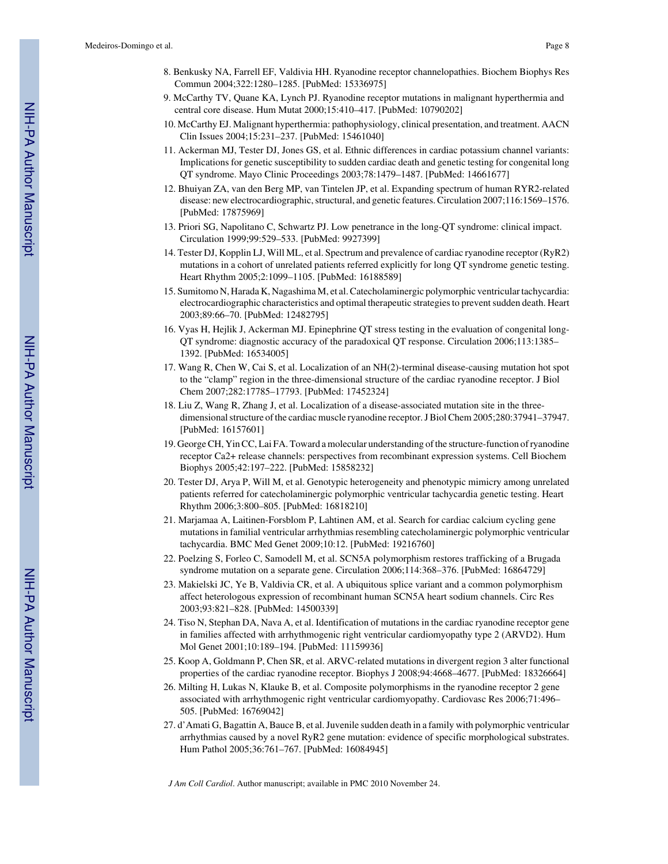- 9. McCarthy TV, Quane KA, Lynch PJ. Ryanodine receptor mutations in malignant hyperthermia and central core disease. Hum Mutat 2000;15:410–417. [PubMed: 10790202]
- 10. McCarthy EJ. Malignant hyperthermia: pathophysiology, clinical presentation, and treatment. AACN Clin Issues 2004;15:231–237. [PubMed: 15461040]
- 11. Ackerman MJ, Tester DJ, Jones GS, et al. Ethnic differences in cardiac potassium channel variants: Implications for genetic susceptibility to sudden cardiac death and genetic testing for congenital long QT syndrome. Mayo Clinic Proceedings 2003;78:1479–1487. [PubMed: 14661677]
- 12. Bhuiyan ZA, van den Berg MP, van Tintelen JP, et al. Expanding spectrum of human RYR2-related disease: new electrocardiographic, structural, and genetic features. Circulation 2007;116:1569–1576. [PubMed: 17875969]
- 13. Priori SG, Napolitano C, Schwartz PJ. Low penetrance in the long-QT syndrome: clinical impact. Circulation 1999;99:529–533. [PubMed: 9927399]
- 14. Tester DJ, Kopplin LJ, Will ML, et al. Spectrum and prevalence of cardiac ryanodine receptor (RyR2) mutations in a cohort of unrelated patients referred explicitly for long QT syndrome genetic testing. Heart Rhythm 2005;2:1099–1105. [PubMed: 16188589]
- 15. Sumitomo N, Harada K, Nagashima M, et al. Catecholaminergic polymorphic ventricular tachycardia: electrocardiographic characteristics and optimal therapeutic strategies to prevent sudden death. Heart 2003;89:66–70. [PubMed: 12482795]
- 16. Vyas H, Hejlik J, Ackerman MJ. Epinephrine QT stress testing in the evaluation of congenital long-QT syndrome: diagnostic accuracy of the paradoxical QT response. Circulation 2006;113:1385– 1392. [PubMed: 16534005]
- 17. Wang R, Chen W, Cai S, et al. Localization of an NH(2)-terminal disease-causing mutation hot spot to the "clamp" region in the three-dimensional structure of the cardiac ryanodine receptor. J Biol Chem 2007;282:17785–17793. [PubMed: 17452324]
- 18. Liu Z, Wang R, Zhang J, et al. Localization of a disease-associated mutation site in the threedimensional structure of the cardiac muscle ryanodine receptor. J Biol Chem 2005;280:37941–37947. [PubMed: 16157601]
- 19. George CH, Yin CC, Lai FA. Toward a molecular understanding of the structure-function of ryanodine receptor Ca2+ release channels: perspectives from recombinant expression systems. Cell Biochem Biophys 2005;42:197–222. [PubMed: 15858232]
- 20. Tester DJ, Arya P, Will M, et al. Genotypic heterogeneity and phenotypic mimicry among unrelated patients referred for catecholaminergic polymorphic ventricular tachycardia genetic testing. Heart Rhythm 2006;3:800–805. [PubMed: 16818210]
- 21. Marjamaa A, Laitinen-Forsblom P, Lahtinen AM, et al. Search for cardiac calcium cycling gene mutations in familial ventricular arrhythmias resembling catecholaminergic polymorphic ventricular tachycardia. BMC Med Genet 2009;10:12. [PubMed: 19216760]
- 22. Poelzing S, Forleo C, Samodell M, et al. SCN5A polymorphism restores trafficking of a Brugada syndrome mutation on a separate gene. Circulation 2006;114:368–376. [PubMed: 16864729]
- 23. Makielski JC, Ye B, Valdivia CR, et al. A ubiquitous splice variant and a common polymorphism affect heterologous expression of recombinant human SCN5A heart sodium channels. Circ Res 2003;93:821–828. [PubMed: 14500339]
- 24. Tiso N, Stephan DA, Nava A, et al. Identification of mutations in the cardiac ryanodine receptor gene in families affected with arrhythmogenic right ventricular cardiomyopathy type 2 (ARVD2). Hum Mol Genet 2001;10:189–194. [PubMed: 11159936]
- 25. Koop A, Goldmann P, Chen SR, et al. ARVC-related mutations in divergent region 3 alter functional properties of the cardiac ryanodine receptor. Biophys J 2008;94:4668–4677. [PubMed: 18326664]
- 26. Milting H, Lukas N, Klauke B, et al. Composite polymorphisms in the ryanodine receptor 2 gene associated with arrhythmogenic right ventricular cardiomyopathy. Cardiovasc Res 2006;71:496– 505. [PubMed: 16769042]
- 27. d'Amati G, Bagattin A, Bauce B, et al. Juvenile sudden death in a family with polymorphic ventricular arrhythmias caused by a novel RyR2 gene mutation: evidence of specific morphological substrates. Hum Pathol 2005;36:761–767. [PubMed: 16084945]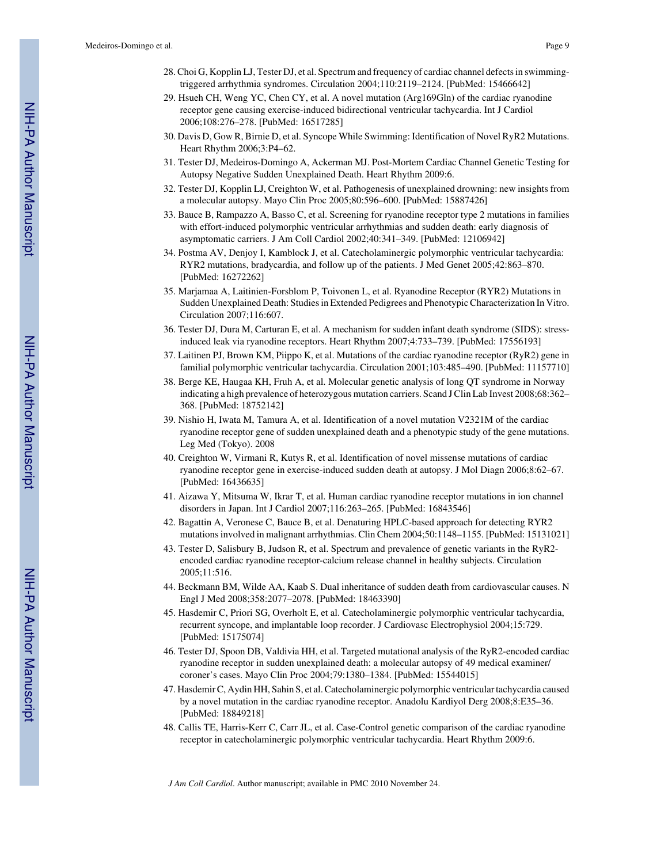- 28. Choi G, Kopplin LJ, Tester DJ, et al. Spectrum and frequency of cardiac channel defects in swimmingtriggered arrhythmia syndromes. Circulation 2004;110:2119–2124. [PubMed: 15466642]
- 29. Hsueh CH, Weng YC, Chen CY, et al. A novel mutation (Arg169Gln) of the cardiac ryanodine receptor gene causing exercise-induced bidirectional ventricular tachycardia. Int J Cardiol 2006;108:276–278. [PubMed: 16517285]
- 30. Davis D, Gow R, Birnie D, et al. Syncope While Swimming: Identification of Novel RyR2 Mutations. Heart Rhythm 2006;3:P4–62.
- 31. Tester DJ, Medeiros-Domingo A, Ackerman MJ. Post-Mortem Cardiac Channel Genetic Testing for Autopsy Negative Sudden Unexplained Death. Heart Rhythm 2009:6.
- 32. Tester DJ, Kopplin LJ, Creighton W, et al. Pathogenesis of unexplained drowning: new insights from a molecular autopsy. Mayo Clin Proc 2005;80:596–600. [PubMed: 15887426]
- 33. Bauce B, Rampazzo A, Basso C, et al. Screening for ryanodine receptor type 2 mutations in families with effort-induced polymorphic ventricular arrhythmias and sudden death: early diagnosis of asymptomatic carriers. J Am Coll Cardiol 2002;40:341–349. [PubMed: 12106942]
- 34. Postma AV, Denjoy I, Kamblock J, et al. Catecholaminergic polymorphic ventricular tachycardia: RYR2 mutations, bradycardia, and follow up of the patients. J Med Genet 2005;42:863–870. [PubMed: 16272262]
- 35. Marjamaa A, Laitinien-Forsblom P, Toivonen L, et al. Ryanodine Receptor (RYR2) Mutations in Sudden Unexplained Death: Studies in Extended Pedigrees and Phenotypic Characterization In Vitro. Circulation 2007;116:607.
- 36. Tester DJ, Dura M, Carturan E, et al. A mechanism for sudden infant death syndrome (SIDS): stressinduced leak via ryanodine receptors. Heart Rhythm 2007;4:733–739. [PubMed: 17556193]
- 37. Laitinen PJ, Brown KM, Piippo K, et al. Mutations of the cardiac ryanodine receptor (RyR2) gene in familial polymorphic ventricular tachycardia. Circulation 2001;103:485–490. [PubMed: 11157710]
- 38. Berge KE, Haugaa KH, Fruh A, et al. Molecular genetic analysis of long QT syndrome in Norway indicating a high prevalence of heterozygous mutation carriers. Scand J Clin Lab Invest 2008;68:362– 368. [PubMed: 18752142]
- 39. Nishio H, Iwata M, Tamura A, et al. Identification of a novel mutation V2321M of the cardiac ryanodine receptor gene of sudden unexplained death and a phenotypic study of the gene mutations. Leg Med (Tokyo). 2008
- 40. Creighton W, Virmani R, Kutys R, et al. Identification of novel missense mutations of cardiac ryanodine receptor gene in exercise-induced sudden death at autopsy. J Mol Diagn 2006;8:62–67. [PubMed: 16436635]
- 41. Aizawa Y, Mitsuma W, Ikrar T, et al. Human cardiac ryanodine receptor mutations in ion channel disorders in Japan. Int J Cardiol 2007;116:263–265. [PubMed: 16843546]
- 42. Bagattin A, Veronese C, Bauce B, et al. Denaturing HPLC-based approach for detecting RYR2 mutations involved in malignant arrhythmias. Clin Chem 2004;50:1148–1155. [PubMed: 15131021]
- 43. Tester D, Salisbury B, Judson R, et al. Spectrum and prevalence of genetic variants in the RyR2 encoded cardiac ryanodine receptor-calcium release channel in healthy subjects. Circulation 2005;11:516.
- 44. Beckmann BM, Wilde AA, Kaab S. Dual inheritance of sudden death from cardiovascular causes. N Engl J Med 2008;358:2077–2078. [PubMed: 18463390]
- 45. Hasdemir C, Priori SG, Overholt E, et al. Catecholaminergic polymorphic ventricular tachycardia, recurrent syncope, and implantable loop recorder. J Cardiovasc Electrophysiol 2004;15:729. [PubMed: 15175074]
- 46. Tester DJ, Spoon DB, Valdivia HH, et al. Targeted mutational analysis of the RyR2-encoded cardiac ryanodine receptor in sudden unexplained death: a molecular autopsy of 49 medical examiner/ coroner's cases. Mayo Clin Proc 2004;79:1380–1384. [PubMed: 15544015]
- 47. Hasdemir C, Aydin HH, Sahin S, et al. Catecholaminergic polymorphic ventricular tachycardia caused by a novel mutation in the cardiac ryanodine receptor. Anadolu Kardiyol Derg 2008;8:E35–36. [PubMed: 18849218]
- 48. Callis TE, Harris-Kerr C, Carr JL, et al. Case-Control genetic comparison of the cardiac ryanodine receptor in catecholaminergic polymorphic ventricular tachycardia. Heart Rhythm 2009:6.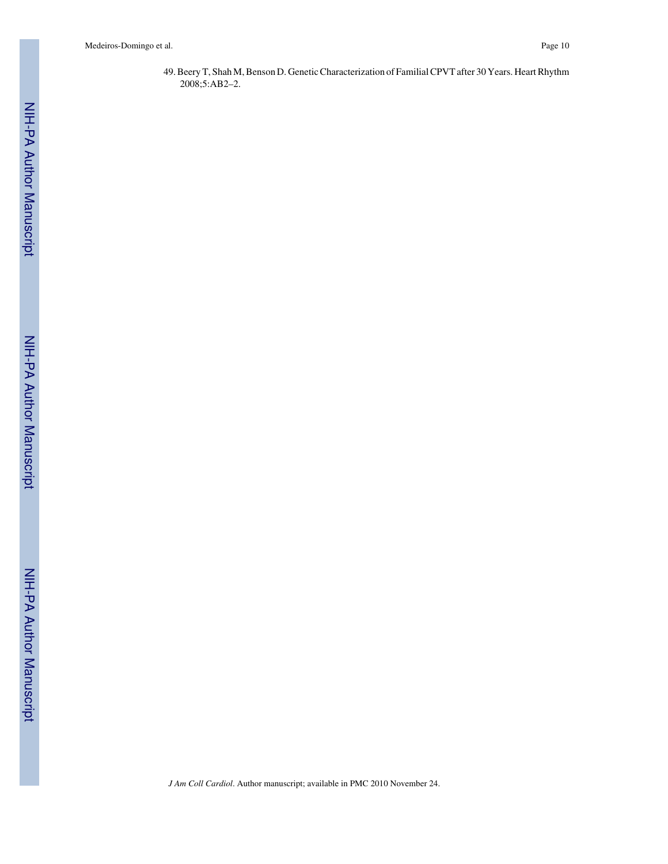49. Beery T, Shah M, Benson D. Genetic Characterization of Familial CPVT after 30 Years. Heart Rhythm 2008;5:AB2–2.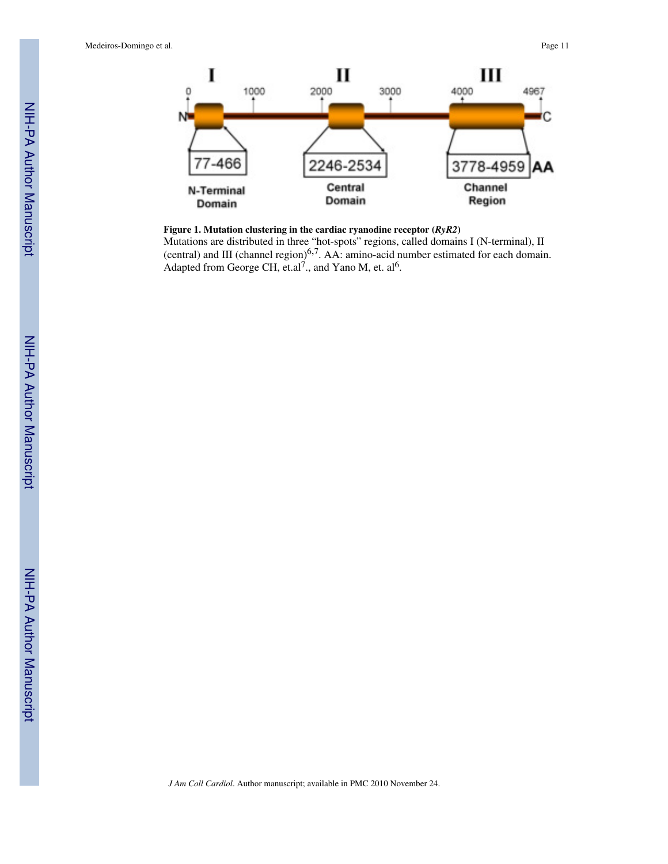

### **Figure 1. Mutation clustering in the cardiac ryanodine receptor (***RyR2***)**

Mutations are distributed in three "hot-spots" regions, called domains I (N-terminal), II (central) and III (channel region)6,<sup>7</sup> . AA: amino-acid number estimated for each domain. Adapted from George CH, et.al<sup>7</sup>., and Yano M, et. al<sup>6</sup>.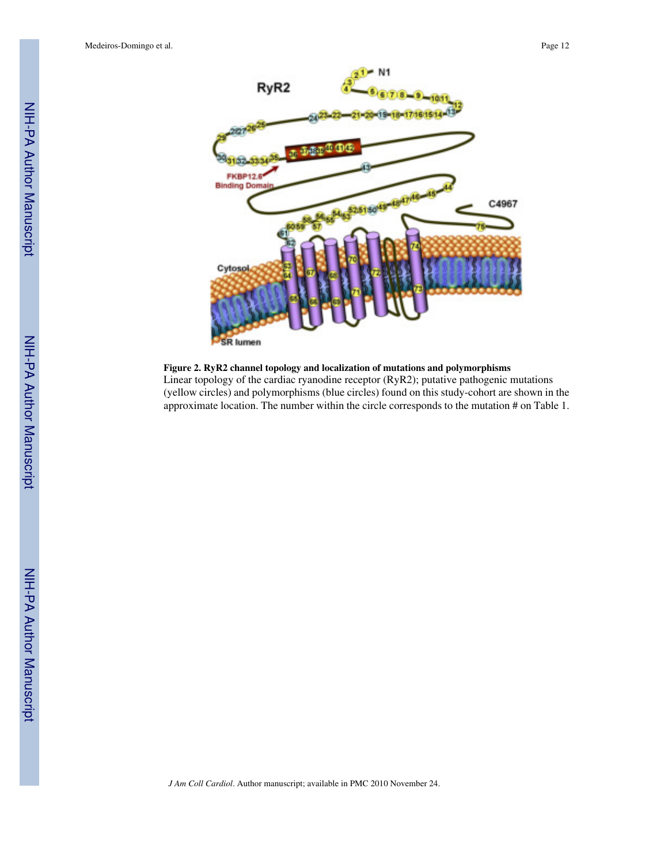

**Figure 2. RyR2 channel topology and localization of mutations and polymorphisms**

Linear topology of the cardiac ryanodine receptor (RyR2); putative pathogenic mutations (yellow circles) and polymorphisms (blue circles) found on this study-cohort are shown in the approximate location. The number within the circle corresponds to the mutation # on Table 1.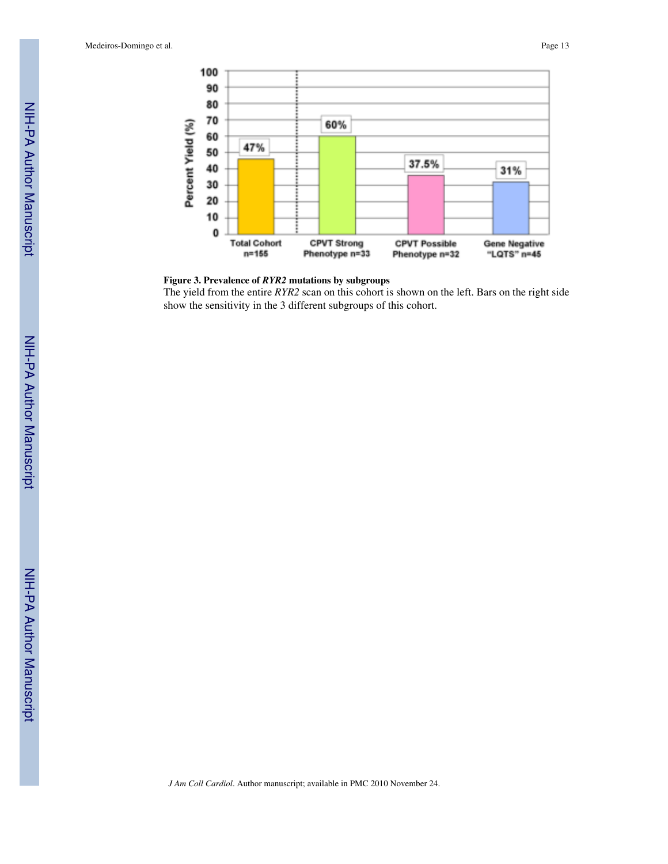



The yield from the entire *RYR2* scan on this cohort is shown on the left. Bars on the right side show the sensitivity in the 3 different subgroups of this cohort.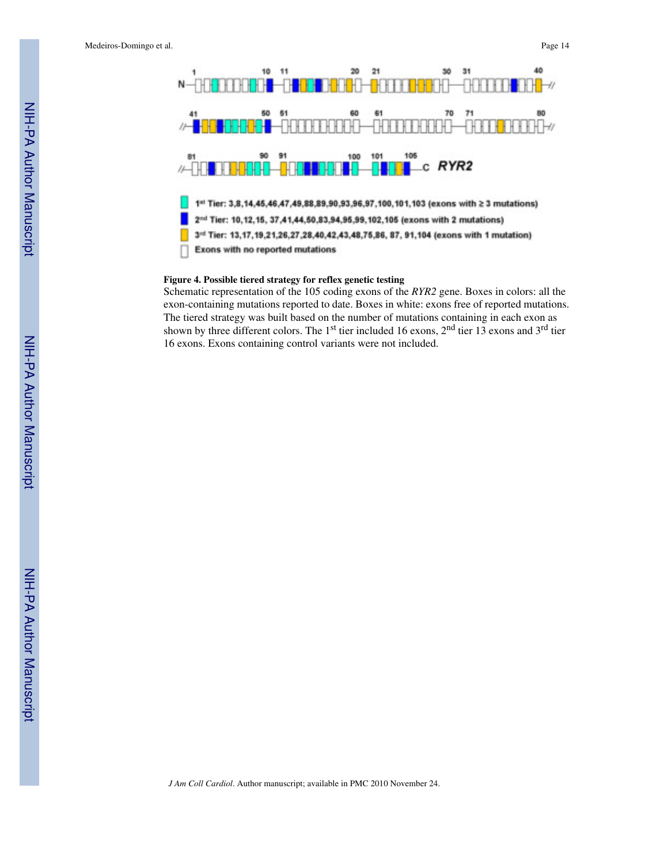

### **Figure 4. Possible tiered strategy for reflex genetic testing**

Schematic representation of the 105 coding exons of the *RYR2* gene. Boxes in colors: all the exon-containing mutations reported to date. Boxes in white: exons free of reported mutations. The tiered strategy was built based on the number of mutations containing in each exon as shown by three different colors. The 1<sup>st</sup> tier included 16 exons,  $2<sup>nd</sup>$  tier 13 exons and 3<sup>rd</sup> tier 16 exons. Exons containing control variants were not included.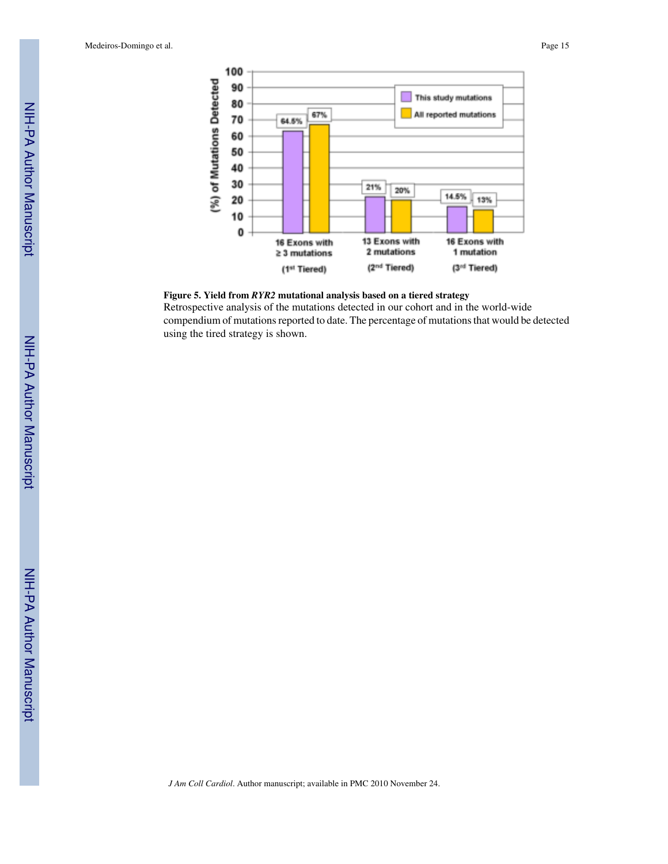



Retrospective analysis of the mutations detected in our cohort and in the world-wide compendium of mutations reported to date. The percentage of mutations that would be detected using the tired strategy is shown.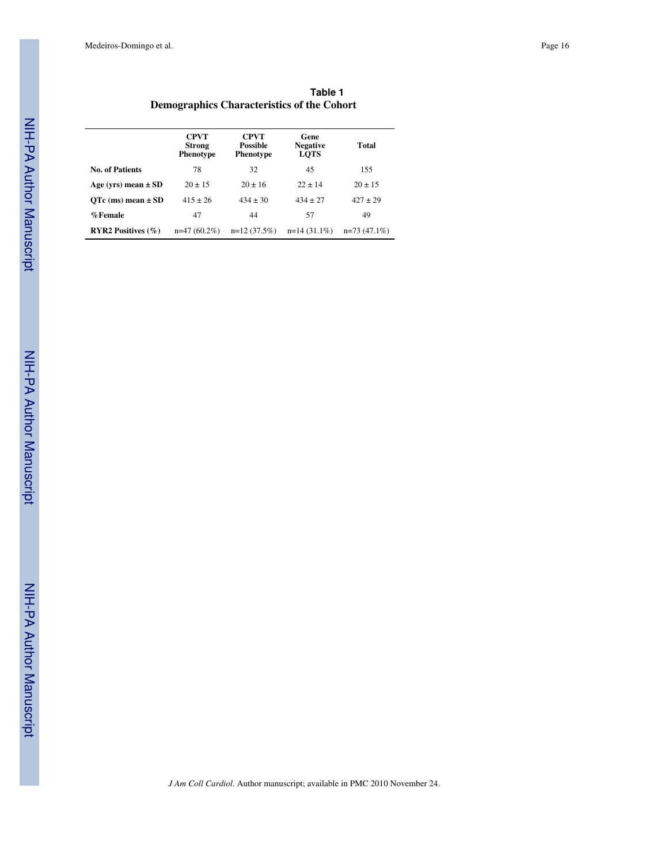| Table 1                                    |
|--------------------------------------------|
| Demographics Characteristics of the Cohort |

|                              | <b>CPVT</b><br><b>Strong</b><br><b>Phenotype</b> | <b>CPVT</b><br><b>Possible</b><br><b>Phenotype</b> | Gene<br><b>Negative</b><br><b>LOTS</b> | Total          |
|------------------------------|--------------------------------------------------|----------------------------------------------------|----------------------------------------|----------------|
| <b>No. of Patients</b>       | 78                                               | 32                                                 | 45                                     | 155            |
| Age (yrs) mean $\pm$ SD      | $20 \pm 15$                                      | $20 \pm 16$                                        | $22 + 14$                              | $20 \pm 15$    |
| $QTe$ (ms) mean $\pm SD$     | $415 \pm 26$                                     | $434 \pm 30$                                       | $434 \pm 27$                           | $427 \pm 29$   |
| %Female                      | 47                                               | 44                                                 | 57                                     | 49             |
| <b>RYR2</b> Positives $(\%)$ | $n=47(60.2\%)$                                   | $n=12(37.5%)$                                      | $n=14(31.1\%)$                         | $n=73(47.1\%)$ |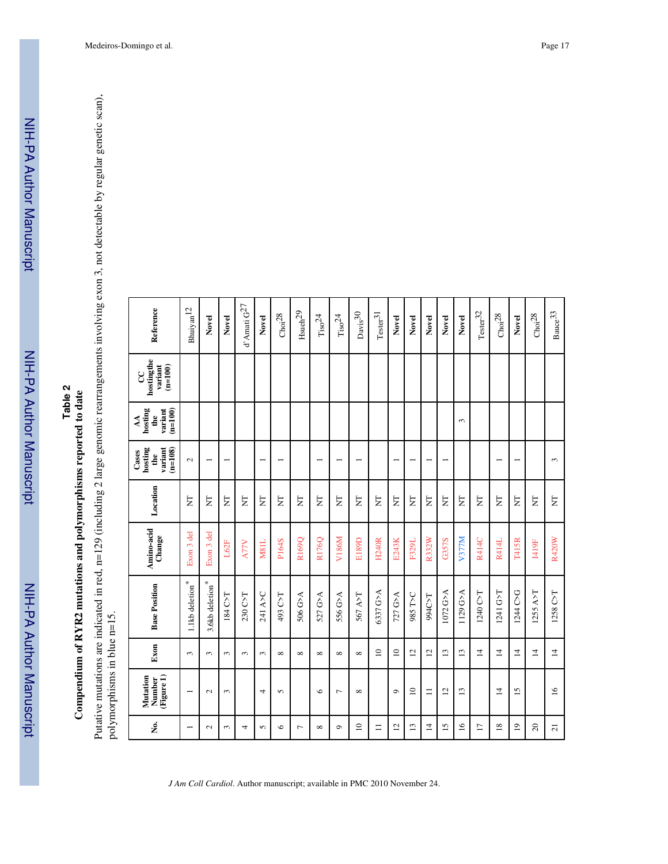# Compendium of RYR2 mutations and polymorphisms reported to date **Compendium of RYR2 mutations and polymorphisms reported to date**

Putative mutations are indicated in red, n=129 (including 2 large genomic rearrangements involving exon 3, not detectable by regular genetic scan),<br>polymorphisms in blue n=15. Putative mutations are indicated in red, n=129 (including 2 large genomic rearrangements involving exon 3, not detectable by regular genetic scan), polymorphisms in blue n=15.

| Reference                                                         | ${\rm Bhuiyan}^{\rm 12}$    | Novel                       | Novel                    | d'Amati $\mathrm{G}^{27}$ | Novel                    | Choi <sup>28</sup> | $_{\rm H such}$ $^{29}$ | $\mathrm{Ti}\mathrm{so}^{24}$ | $\mathrm{Ti}\mathrm{so}^{24}$ | $_{\rm Davis}$ 30        | $\mathrm{Tester^{31}}$ | Novel          | Novel           | Novel          | Novel           | Novel           | $\mathrm{Tester}^{32}$ | $\mathrm{Choi}^{28}$     | Novel                    | $\mathrm{Choi}^{28}$ | $_{\rm Bauce}$ $^{33}$ |
|-------------------------------------------------------------------|-----------------------------|-----------------------------|--------------------------|---------------------------|--------------------------|--------------------|-------------------------|-------------------------------|-------------------------------|--------------------------|------------------------|----------------|-----------------|----------------|-----------------|-----------------|------------------------|--------------------------|--------------------------|----------------------|------------------------|
| hostingthe<br>$(n=100)$<br>variant<br>CC                          |                             |                             |                          |                           |                          |                    |                         |                               |                               |                          |                        |                |                 |                |                 |                 |                        |                          |                          |                      |                        |
| hosting<br>variant<br>$(n=100)$<br>the<br>$\overline{\mathbf{A}}$ |                             |                             |                          |                           |                          |                    |                         |                               |                               |                          |                        |                |                 |                |                 | $\epsilon$      |                        |                          |                          |                      |                        |
| hosting<br>variant<br>$(m=108)$<br>Cases<br>de                    | $\mathcal{L}$               |                             | $\overline{\phantom{0}}$ |                           | $\overline{\phantom{0}}$ | $\overline{ }$     |                         | $\overline{\phantom{0}}$      | $\overline{\phantom{0}}$      | $\overline{\phantom{0}}$ |                        |                |                 |                | $\overline{ }$  |                 |                        | $\overline{\phantom{0}}$ | $\overline{\phantom{0}}$ |                      | $\mathfrak{g}$         |
| Location                                                          | Ę                           | E                           | E                        | E                         | E                        | E                  | Ę                       | E                             | E                             | Ę                        | E                      | E              | E               | E              | E               | E               | Ę                      | E                        | E                        | E                    | E                      |
| Amino-acid<br>Change                                              | Exon 3 del                  | Exon 3 del                  | L62F                     | <b>A77V</b>               | <b>M81L</b>              | P164S              | R169Q                   | R176Q                         | V186M                         | E189D                    | <b>H240R</b>           | E243K          | F329L           | R332W          | G357S           | V377M           | R414C                  | R414L                    | T415R                    | <b>I419F</b>         | R420W                  |
| <b>Base Position</b>                                              | 1.1kb deletion <sup>*</sup> | $3.6{\rm kb}$ deletion $^*$ | 184 C>T                  | 230 C>T                   | 241 A>C                  | 493 C>T            | 506 G>A                 | 527 G>A                       | 556 G>A                       | 567 A>T                  | 6337 G>A               | 727 G>A        | <b>DSST 286</b> | 994C>T         | 1072 G>A        | 1129 G>A        | 1240 C>T               | 1241 G>T                 | 1244 C>G                 | $1255$ A>T           | 1258 C>T               |
| Exon                                                              | 3                           | 3                           | ω                        | 3                         | 3                        | $\infty$           | $\infty$                | $\infty$                      | $\infty$                      | $\infty$                 | $\approx$              | $\approx$      | $\overline{c}$  | $\overline{2}$ | 13              | 13              | $\overline{4}$         | $\overline{4}$           | $\overline{4}$           | $\overline{4}$       | $\overline{1}$         |
| (Figure 1)<br>Mutation<br>Number                                  | $\overline{\phantom{0}}$    | $\mathbf{\sim}$             | 3                        |                           | 4                        | 5                  |                         | $\circ$                       | Γ                             | ${}^{\circ}$             |                        | $\circ$        | $\overline{10}$ | $\equiv$       | $\overline{2}$  | $\overline{13}$ |                        | $\overline{4}$           | $\overline{15}$          |                      | $\geq$                 |
| ż.                                                                | $\overline{\phantom{0}}$    | $\sim$                      | 3                        | 4                         | 5                        | $\circ$            | $\overline{ }$          | $\infty$                      | $\sigma$                      | $\overline{a}$           | $\equiv$               | $\overline{c}$ | 13              | $\overline{4}$ | $\overline{15}$ | $\overline{16}$ | $\overline{17}$        | $\overline{18}$          | $\overline{0}$           | $\Omega$             | $\overline{z}$         |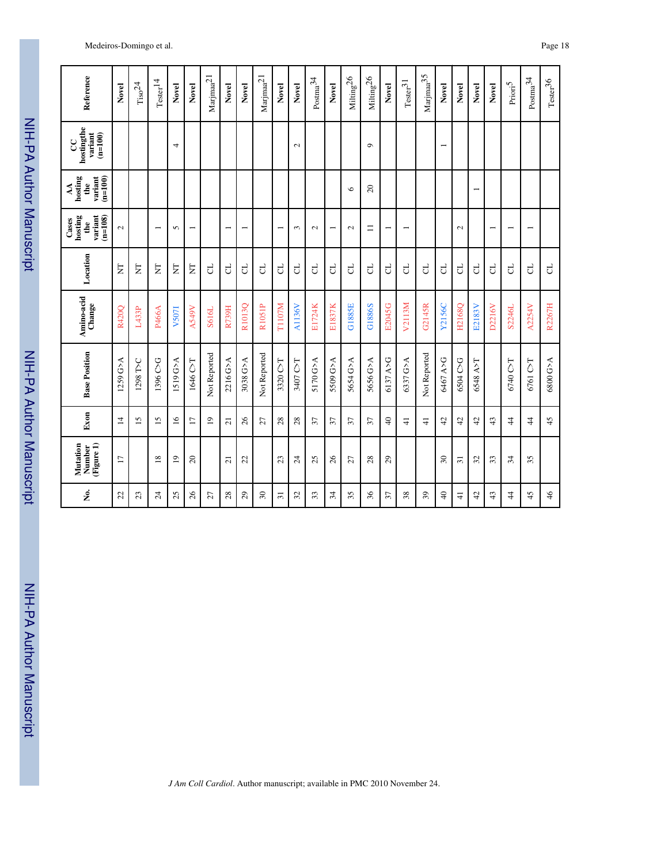| Reference                                       | Novel                    | $_{\mathrm{Tiso}^{24}}$ | $\mathrm{Tester}^{14}$   | Novel           | Novel                    | $\mbox{Majmaa}^{21}$ | Novel                    | Novel                    | $\mbox{Majma}^2$ | Novel           | Novel           | $\rm{Postma}^{34}$ | Novel                    | $\rm{Miling}^{26}$ | Milting <sup>26</sup> | Novel                    | $\mathrm{Tester}^{31}$   | $\rm{Marjma}^{35}$ | Novel                    | Novel           | Novel                    | Novel                    | $\mathrm{Prior}^5$       | $_{\rm{Posma}^{34}}$     | $\mathrm{Tester^{36}}$ |
|-------------------------------------------------|--------------------------|-------------------------|--------------------------|-----------------|--------------------------|----------------------|--------------------------|--------------------------|------------------|-----------------|-----------------|--------------------|--------------------------|--------------------|-----------------------|--------------------------|--------------------------|--------------------|--------------------------|-----------------|--------------------------|--------------------------|--------------------------|--------------------------|------------------------|
| hostingthe<br>variant<br>$(n=100)$<br>g         |                          |                         |                          | 4               |                          |                      |                          |                          |                  |                 | $\mathbf{\sim}$ |                    |                          |                    | $\sigma$              |                          |                          |                    | $\overline{\phantom{0}}$ |                 |                          |                          |                          |                          |                        |
| hosting<br>$(n=100)$<br>variant<br>the<br>ÁÁ    |                          |                         |                          |                 |                          |                      |                          |                          |                  |                 |                 |                    |                          | $\circ$            | 20                    |                          |                          |                    |                          |                 | $\overline{\phantom{0}}$ |                          |                          |                          |                        |
| variant<br>$(n=108)$<br>hosting<br>Cases<br>the | $\overline{\mathcal{C}}$ |                         | $\overline{\phantom{0}}$ | 5               | $\overline{\phantom{0}}$ |                      | $\overline{\phantom{0}}$ | $\overline{\phantom{0}}$ |                  | $\overline{ }$  | 3               | $\sim$             | $\overline{\phantom{0}}$ | $\mathbf{c}$       | $\equiv$              | $\overline{\phantom{0}}$ | $\overline{\phantom{0}}$ |                    |                          | $\sim$          |                          | $\overline{\phantom{0}}$ | $\overline{\phantom{0}}$ | $\overline{\phantom{0}}$ |                        |
| Location                                        | E                        | Ę                       | $\overline{\mathsf{z}}$  | Ę               | E                        | ರ                    | ರ                        | J                        | ರ                | ರ               | $\overline{c}$  | P,                 | đ                        | ರ                  | ರ                     | P,                       | P,                       | P.                 | F                        | <b>C</b>        | ರ                        | ರ                        | đ                        | F                        | P,                     |
| Amino-acid<br>Change                            | R420Q                    | L433P                   | P466A                    | V507I           | <b>A549V</b>             | S616L                | R739H                    | R1013O                   | R1051P           | T1107M          | <b>A1136V</b>   | E1724K             | E1837K                   | <b>G1885E</b>      | G1886S                | E2045G                   | V2113M                   | G2145R             | Y2156C                   | H2168Q          | E2183V                   | D2216V                   | S2246L                   | A2254V                   | R2267H                 |
| <b>Base Position</b>                            | 1259 G>A                 | 1298 T>C                | 1396 C>G                 | 1519 G>A        | 1646 C>T                 | Not Reported         | 2216 G>A                 | 3038 G>A                 | Not Reported     | 3320 C>T        | 3407 C>T        | 5170 G>A           | 5509 G>A                 | 5654 G>A           | 5656 G>A              | 6137 A>G                 | 6337 G>A                 | Not Reported       | 6467 A>G                 | 6504 C>G        | 6548 A>T                 |                          | 6740 C>T                 | 6761 C>T                 | 6800 G>A               |
| Exon                                            | 4                        | $\overline{15}$         | 15                       | $\overline{16}$ | $\overline{17}$          | $\overline{1}$       | $\overline{a}$           | 26                       | 27               | 28              | 28              | $\overline{37}$    | 57                       | 57                 | 57                    | $\overline{4}$           | $\frac{1}{4}$            | $\frac{1}{4}$      | $\ddot{c}$               | $\ddot{c}$      | 42                       | 43                       | 4                        | $\overline{4}$           | 45                     |
| (Figure 1)<br>Mutation<br>Number                | $\overline{17}$          |                         | $\overline{18}$          | $\overline{0}$  | $\Omega$                 |                      | $\overline{a}$           | 22                       |                  | 23              | $\overline{24}$ | 25                 | 26                       | 27                 | 28                    | $_{29}$                  |                          |                    | $30\,$                   | $\overline{31}$ | $\mathfrak{L}$           | 33                       | 34                       | 35                       |                        |
| å.                                              | 22                       | 23                      | $\mathcal{Z}$            | 25              | 26                       | 27                   | 28                       | $^{29}$                  | $30\,$           | $\overline{31}$ | 32              | 33                 | 34                       | 35                 | 36                    | 57                       | 38                       | 39                 | $\overline{4}$           | $\frac{1}{4}$   | 42                       | 43                       | 4                        | 45                       | 46                     |

NIH-PA Author Manuscript

NIH-PA Author Manuscript

NIH-PA Author Manuscript

NIH-PA Author Manuscript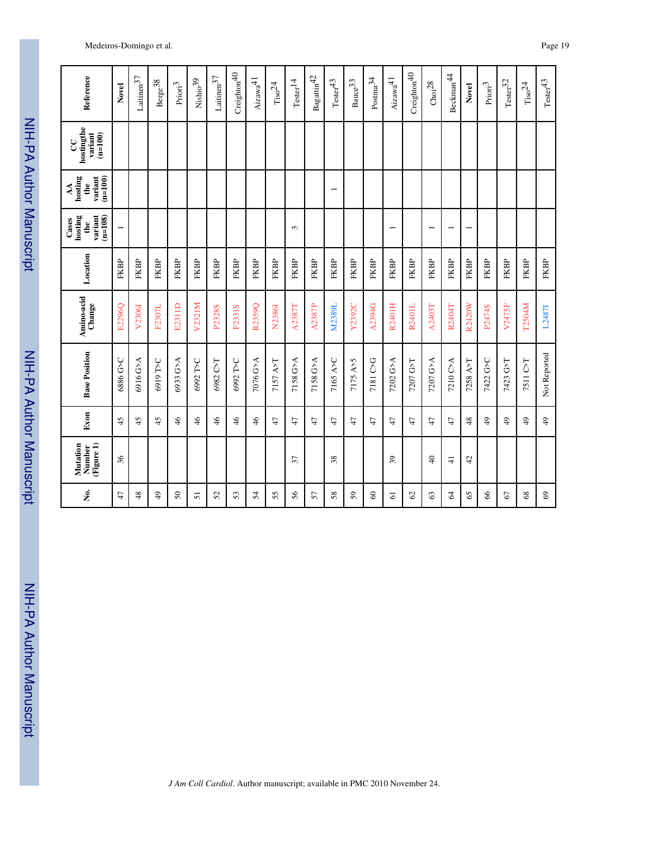| Reference                                       | Novel                    | $\rm Laitinen^{37}$ | $\mbox{Berge}\mbox{^{38}}$ | $\mathrm{Prior}^3$ | $\mathrm{Nishio}^{39}$ | $\rm Laitinen 37$ | Creighton $40$ | $\rm Aizawa^{\rm 41}$ | $_{\mathrm{Tiso}^{24}}$ | $\mathrm{Tester}^{14}$ | $\mbox{Bagatlin}^{42}$ | $\mathrm{Tester}^{43}$ | $_{\rm Bauce}$ $^{33}$ | $\rm{Postma}^{34}$ | $\mathrm{Aizawa}^{41}$ | Creighton $40$ | Choi <sup>28</sup>       | Beckman <sup>44</sup>    | Novel                    | $\ensuremath{\mathrm{Prior}^3}\xspace$ | $\mathrm{Tester}^{32}$ | $_{\mathrm{Tiso}^{24}}$ | $\mathrm{Tester}^{43}$ |
|-------------------------------------------------|--------------------------|---------------------|----------------------------|--------------------|------------------------|-------------------|----------------|-----------------------|-------------------------|------------------------|------------------------|------------------------|------------------------|--------------------|------------------------|----------------|--------------------------|--------------------------|--------------------------|----------------------------------------|------------------------|-------------------------|------------------------|
|                                                 |                          |                     |                            |                    |                        |                   |                |                       |                         |                        |                        |                        |                        |                    |                        |                |                          |                          |                          |                                        |                        |                         |                        |
| hostingthe<br>variant<br>$(n=100)$<br>g         |                          |                     |                            |                    |                        |                   |                |                       |                         |                        |                        |                        |                        |                    |                        |                |                          |                          |                          |                                        |                        |                         |                        |
| hosting<br>$variant$<br>$(n=100)$<br>the<br>₹   |                          |                     |                            |                    |                        |                   |                |                       |                         |                        |                        |                        |                        |                    |                        |                |                          |                          |                          |                                        |                        |                         |                        |
| variant<br>$(n=108)$<br>hosting<br>Cases<br>the | $\overline{\phantom{0}}$ |                     |                            |                    |                        |                   |                |                       |                         | 3                      |                        |                        |                        |                    |                        |                | $\overline{\phantom{0}}$ | $\overline{\phantom{0}}$ | $\overline{\phantom{0}}$ |                                        |                        |                         |                        |
| Location                                        | FKBP                     | FKBP                | FKBP                       | FKBP               | FKBP                   | FKBP              | FKBP           | <b>FKBP</b>           | FKBP                    | FKBP                   | FKBP                   | FKBP                   | FKBP                   | FKBP               | FKBP                   | FKBP           | FKBP                     | FKBP                     | FKBP                     | FKBP                                   | FKBP                   | FKBP                    | <b>FKBP</b>            |
| Amino-acid<br>Change                            | E2296Q                   | V2306I              | F2307L                     | E2311D             | V2321M                 | P2328S            | F2331S         | R2359Q                | N2386I                  | A2387T                 | A2387P                 | M2389L                 | Y2392C                 | A2394G             | R2401H                 | R2401L         | A2403T                   | R2404T                   | R2420W                   | P2474S                                 | V2475F                 | <b>T2504M</b>           | L2487I                 |
| <b>Base Position</b>                            | 5<9 9880                 | 6916 G>A            | 6919 T>C                   | 6933 G>A           | 6992 T>C               | 6982 C>T          | 6992 T>C       | 7076 G>A              | 7157 A>T                | 7158 G>A               | 7158 G>A               | 7165 A>C               | 7175 A>5               | 7181 C>G           | 7202 G>A               | 7207 G>T       | 7207 G>A                 | 7210 C>A                 | 7258 A>T                 | 7422 G>C                               | 7423 G>T               | 7511 C>T                | Not Reported           |
| Exon                                            | 45                       | 45                  | 45                         | $\frac{4}{6}$      | $\frac{4}{6}$          | $\frac{4}{6}$     | $\frac{4}{6}$  | $\frac{4}{6}$         | $\ddot{t}$              | 47                     | 47                     | 47                     | $\ddot{t}$             | 47                 | 47                     | 47             | 47                       | $\ddot{t}$               | 48                       | $\frac{6}{7}$                          | $\frac{9}{4}$          | $\frac{1}{2}$           | $\overline{49}$        |
| (Figure 1)<br>Mutation<br>Number                | 36                       |                     |                            |                    |                        |                   |                |                       |                         | $\overline{37}$        |                        | 38                     |                        |                    | 39                     |                | $\Theta$                 | $\frac{1}{4}$            | 42                       |                                        |                        |                         |                        |
| فع<br>ح                                         | 47                       | $\frac{8}{3}$       | $\frac{9}{4}$              | $50\,$             | 51                     | 52                | 53             | 54                    | 55                      | 56                     | 57                     | 58                     | 59                     | 8                  | 5                      | $\mathcal{S}$  | 63                       | 2                        | 65                       | 8 <sup>o</sup>                         | 67                     | 68                      | $\mathbb{S}^3$         |

NIH-PA Author Manuscript

NIH-PA Author Manuscript

NIH-PA Author Manuscript

NIH-PA Author Manuscript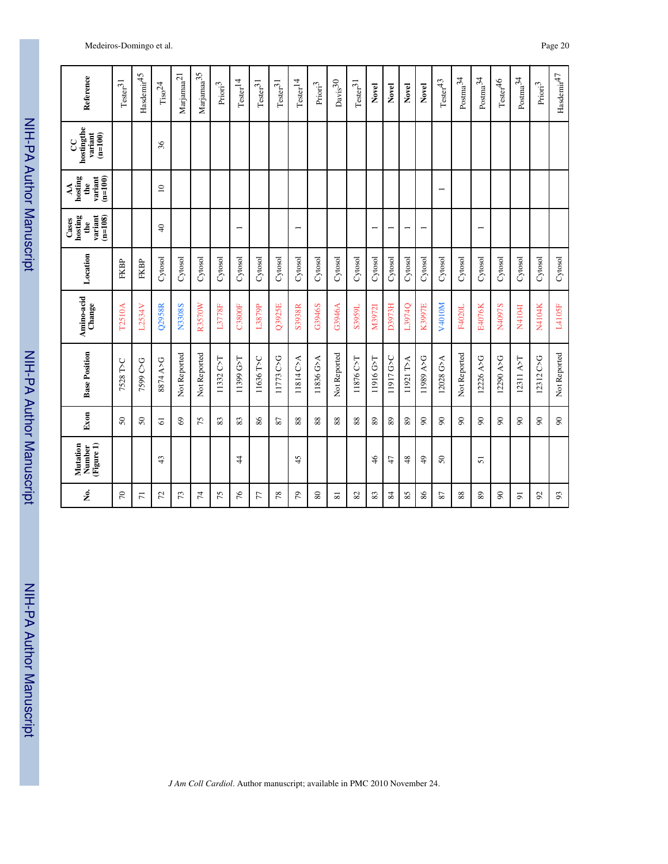| Reference                                                | $\mathrm{Tester}^{31}$ | $H$ asdemir $45$ | $\mathrm{Tiso}^{24}$ | $\mbox{Marjamaa}^{21}$ | $\mbox{Marjama}^{\mbox{35}}$ | $\mathrm{Prior}^3$ | $\mathrm{Tester}^{14}$   | $\mathrm{Tester}^{31}$ | $\mathrm{Tester}^{31}$ | $\mathrm{Tester}^{14}$   | $\mathrm{Prior}^3$ | $_{\rm Davis}$ 30 | $\mathrm{Tester}^{31}$ | Novel                    | Novel     | Novel                    | Novel                    | $\mathrm{Tester}^{43}$   | $\rm{Postma^{34}}$ | $\rm{Postma}^{34}$       | $\mathrm{Tester}^{46}$ | $\rm{Postma}^{34}$ | $\mathrm{Prior}^3$ | $\rm Hasdemir^{47}$ |
|----------------------------------------------------------|------------------------|------------------|----------------------|------------------------|------------------------------|--------------------|--------------------------|------------------------|------------------------|--------------------------|--------------------|-------------------|------------------------|--------------------------|-----------|--------------------------|--------------------------|--------------------------|--------------------|--------------------------|------------------------|--------------------|--------------------|---------------------|
| hostingthe<br>variant<br>$(m=100)$<br>g                  |                        |                  | 36                   |                        |                              |                    |                          |                        |                        |                          |                    |                   |                        |                          |           |                          |                          |                          |                    |                          |                        |                    |                    |                     |
| hosting<br>$variant$<br>$(n=100)$<br>$\mathbf{e}$<br>ÁÁ  |                        |                  | $\approx$            |                        |                              |                    |                          |                        |                        |                          |                    |                   |                        |                          |           |                          |                          | $\overline{\phantom{0}}$ |                    |                          |                        |                    |                    |                     |
| $(n=108)$<br>variant<br>hosting<br>Cases<br>$\mathbf{f}$ |                        |                  | $\overline{4}$       |                        |                              |                    | $\overline{\phantom{0}}$ |                        |                        | $\overline{\phantom{0}}$ |                    |                   |                        | $\overline{\phantom{0}}$ |           | $\overline{\phantom{0}}$ | $\overline{\phantom{0}}$ |                          |                    | $\overline{\phantom{0}}$ |                        |                    |                    |                     |
| Location                                                 | FKBP                   | FKBP             | Cytosol              | Cytosol                | Cytosol                      | Cytosol            | Cytosol                  | Cytosol                | Cytosol                | Cytosol                  | Cytosol            | Cytosol           | Cytosol                | Cytosol                  | Cytosol   | Cytosol                  | Cytosol                  | Cytosol                  | Cytosol            | Cytosol                  | Cytosol                | Cytosol            | Cytosol            | Cytosol             |
| Amino-acid<br>Change                                     | <b>T2510A</b>          | L2534V           | Q2958R               | <b>N3308S</b>          | <b>R3570W</b>                | <b>L3778F</b>      | <b>C3800F</b>            | L3879P                 | Q3925E                 | S3938R                   | G3946S             | G3946A            | S3959L                 | M3972I                   | D3973H    | L3974Q                   | K3997E                   | V4010M                   | F4020L             | <b>E4076K</b>            | N4097S                 | N4104I             | N4104K             | L4105F              |
| <b>Base Position</b>                                     | 7528 T>C               | 7599 C>G         | 8874 A>G             | Not Reported           | Not Reported                 | 11332 C>T          | 11399 G>T                | 11636 T>C              | 11773 C>G              | 11814 C>A                | 11836 G>A          | Not Reported      | 11876 C>T              | 11916 G>T                | 11917 G>C | 11921 T>A                | 11989 A>G                | 12028 G>A                | Not Reported       | 12226 A>G                | 12290 A>G              | 12311 A>T          | 12312 C>G          | Not Reported        |
| Exon                                                     | $\delta$               | $50\,$           | $\Omega$             | $\mathcal{S}^{\Theta}$ | 75                           | 83                 | 83                       | 86                     | 22                     | 88                       | 88                 | 88                | 88                     | 89                       | 89        | 89                       | $\infty$                 | 8                        | ଛ                  | 8                        | $\infty$               | $\infty$           | $\infty$           | $\infty$            |
| (Figure 1)<br>Mutation<br>Number                         |                        |                  | 43                   |                        |                              |                    | 4                        |                        |                        | 45                       |                    |                   |                        | 46                       | 47        | 48                       | $\frac{1}{2}$            | $\mathcal{S}^{\bullet}$  |                    | 51                       |                        |                    |                    |                     |
| å.                                                       | $\sqrt{2}$             | $\overline{r}$   | 52                   | 73                     | 74                           | 75                 | 76                       | 77                     | 78                     | 54                       | 80                 | 51                | 82                     | 83                       | 84        | 85                       | 86                       | 22                       | 88                 | 89                       | $\infty$               | 5                  | $\mathcal{S}$      | 93                  |

*J Am Coll Cardiol*. Author manuscript; available in PMC 2010 November 24.

### Medeiros-Domingo et al. Page 20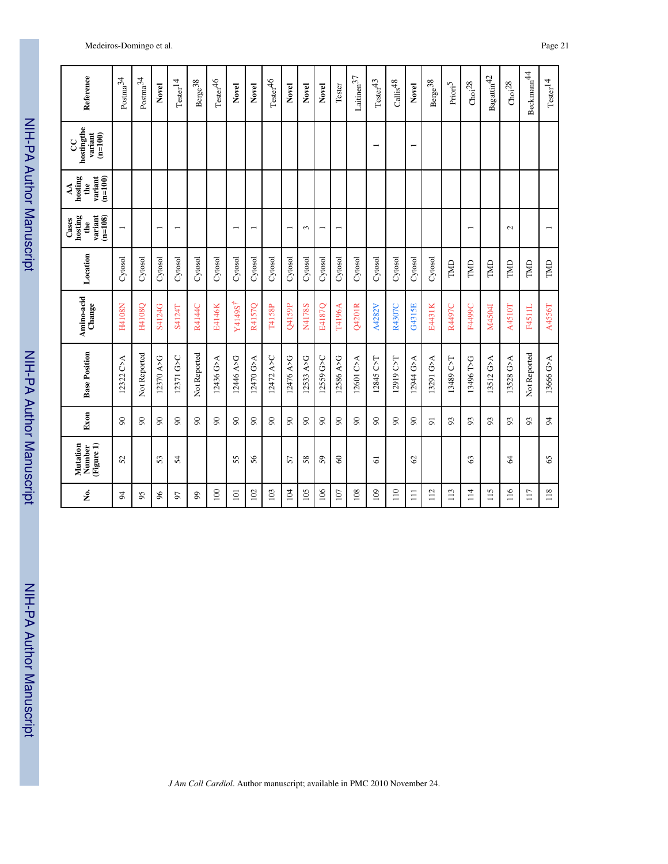| Reference                                                    | $\rm{Posma}^{34}$        | $_{\rm{Posma}^{34}}$ | Novel                    | $\mathrm{Tester}^{14}$   | $\rm Berge^{38}$ | $\mathrm{Tester}^{46}$     | Novel                                | Novel                    | $\mathrm{Tester}^{46}$ | Novel          | Novel     | Novel          | Tester                   | $\rm Laitinen^{37}$ | $\mathrm{Tester}^{43}$   | $\mathrm{Calis}^{48}$ | Novel                    | $\rm Berge^{38}$ | $\mathrm{Prior}^5$ | Choi <sup>28</sup>       | $\mathrm{Bagatin}^{42}$ | Choi <sup>28</sup> | Beckmann <sup>44</sup> | $\mathrm{Tester}^{14}$ |
|--------------------------------------------------------------|--------------------------|----------------------|--------------------------|--------------------------|------------------|----------------------------|--------------------------------------|--------------------------|------------------------|----------------|-----------|----------------|--------------------------|---------------------|--------------------------|-----------------------|--------------------------|------------------|--------------------|--------------------------|-------------------------|--------------------|------------------------|------------------------|
| hostingthe<br>variant<br>$(n=100)$<br>9                      |                          |                      |                          |                          |                  |                            |                                      |                          |                        |                |           |                |                          |                     | $\overline{\phantom{0}}$ |                       | $\overline{\phantom{0}}$ |                  |                    |                          |                         |                    |                        |                        |
| hosting<br>$(n=100)$<br>variant<br>the<br>$\mathbf{\hat{A}}$ |                          |                      |                          |                          |                  |                            |                                      |                          |                        |                |           |                |                          |                     |                          |                       |                          |                  |                    |                          |                         |                    |                        |                        |
| $(n=108)$<br>hosting<br>variant<br>Cases<br>the              | $\overline{\phantom{0}}$ |                      | $\overline{\phantom{0}}$ | $\overline{\phantom{0}}$ |                  |                            | $\overline{\phantom{0}}$             | $\overline{\phantom{0}}$ |                        | $\overline{ }$ | 3         | $\overline{ }$ | $\overline{\phantom{0}}$ |                     |                          |                       |                          |                  |                    | $\overline{\phantom{0}}$ |                         | $\sim$             |                        | $\overline{ }$         |
| Location                                                     | Cytosol                  | Cytosol              | Cytosol                  | Cytosol                  | Cytosol          | Cytosol                    | Cytosol                              | Cytosol                  | Cytosol                | Cytosol        | Cytosol   | Cytosol        | Cytosol                  | Cytosol             | Cytosol                  | Cytosol               | Cytosol                  | Cytosol          | TMD                | TMD                      | TMD                     | TMD                | TMD                    | TMD                    |
| Amino-acid<br>Change                                         | H4108N                   | H4108Q               | S4124G                   | S4124T                   | R4144C           | E4146K                     | $\mathbf{Y}4149\mathbf{S}^{\dagger}$ | R4157Q                   | T4158P                 | Q4159P         | N4178S    | E4187Q         | T4196A                   | Q4201R              | A4282V                   | R4307C                | G4315E                   | E4431K           | R4497C             | F4499C                   | M4504I                  | A4510T             | <b>F4511L</b>          | A4556T                 |
| <b>Base Position</b>                                         | 12322 C>A                | Not Reported         | 12370 A>G                | 12371 G>C                | Not Reported     | 12436 G>A                  | D446 A>G                             | 12470 G>A                | 12472 A>C              | D476 A>G       | 12533 A>G | 12559 G>C      | 12586 A>G                | 12601 C>A           | 12845 C>T                | 12919 C>T             | 12944 G>A                | 13291 G>A        | 13489 C>T          | 13496 T>G                | 13512 G>A               | 13528 G>A          | Not Reported           | 13666 G>A              |
| Exon                                                         | $\infty$                 | $\infty$             | $\infty$                 | $\infty$                 | $\infty$         | $\boldsymbol{\mathcal{S}}$ | $\infty$                             | $\infty$                 | $\infty$               | $\infty$       | $\infty$  | $\infty$       | $\infty$                 | $\infty$            | $\infty$                 | $\infty$              | $\infty$                 | $\overline{5}$   | 93                 | 93                       | 93                      | 93                 | 93                     | $\overline{5}$         |
| Mutation<br>(Figure 1)<br>Number                             | 52                       |                      | 53                       | 54                       |                  |                            | 55                                   | 56                       |                        | 57             | 58        | 59             | 3                        |                     | 61                       |                       | $\mathcal{O}$            |                  |                    | 63                       |                         | 2                  |                        | 65                     |
| å.                                                           | 24                       | 95                   | $\delta$                 | 57                       | 99               | 100                        | $\overline{101}$                     | 102                      | 103                    | 104            | 105       | 106            | 107                      | 108                 | 109                      | $\frac{1}{2}$         | $\Xi$                    | 112              | 113                | $\frac{4}{11}$           | 115                     | $\frac{6}{11}$     | 117                    | 118                    |

*J Am Coll Cardiol*. Author manuscript; available in PMC 2010 November 24.

### Medeiros-Domingo et al. Page 21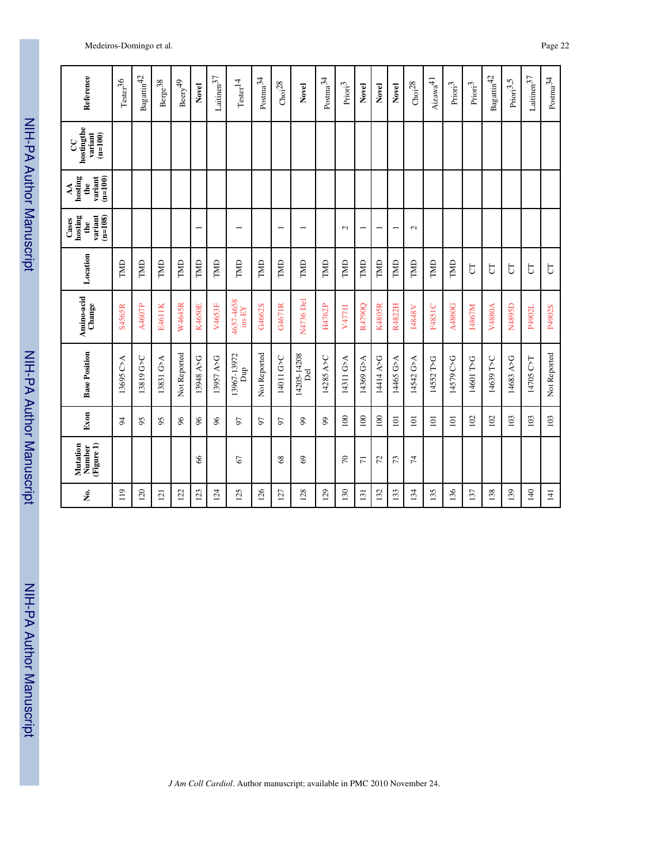| Reference                                                | $\mathrm{Tester^{36}}$ | $\mbox{Bagattin}^{42}$ | $\rm Berge^{38}$ | $\mathrm{Beery}^{49}$ | Novel                    | $\rm Laitinen 37$ | $\mathrm{Tester}^{14}$   | $\rm{Postma}^{34}$ | Choi <sup>28</sup>       | Novel                    | $\rm{Postma}^{34}$ | $\rm{Prior}^3$ | Novel                    | Novel                    | Novel                    | Choi <sup>28</sup> | $\mathrm{Aizawa}^{41}$ | $\mathrm{Prior}^3$ | $\mathrm{Prior}^3$ | $\mbox{Bagatlin}^{42}$ | $\mathrm{Prior}^{3,5}$ | $\rm Laitinen 37$ | $\rm{Postma}^{34}$ |
|----------------------------------------------------------|------------------------|------------------------|------------------|-----------------------|--------------------------|-------------------|--------------------------|--------------------|--------------------------|--------------------------|--------------------|----------------|--------------------------|--------------------------|--------------------------|--------------------|------------------------|--------------------|--------------------|------------------------|------------------------|-------------------|--------------------|
| hostingthe<br>variant<br>$(n=100)$<br>႘                  |                        |                        |                  |                       |                          |                   |                          |                    |                          |                          |                    |                |                          |                          |                          |                    |                        |                    |                    |                        |                        |                   |                    |
| $_{\text{hosting}}$<br>$(n=100)$<br>variant<br>the<br>AA |                        |                        |                  |                       |                          |                   |                          |                    |                          |                          |                    |                |                          |                          |                          |                    |                        |                    |                    |                        |                        |                   |                    |
| $(n=108)$<br>variant<br>hosting<br>Cases<br>the          |                        |                        |                  |                       | $\overline{\phantom{0}}$ |                   | $\overline{\phantom{0}}$ |                    | $\overline{\phantom{0}}$ | $\overline{\phantom{0}}$ |                    | $\sim$         | $\overline{\phantom{0}}$ | $\overline{\phantom{0}}$ | $\overline{\phantom{0}}$ | $\sim$             |                        |                    |                    |                        |                        |                   |                    |
| Location                                                 | TMD                    | TMD                    | TMD              | TMD                   | TMD                      | TMD               | TMD                      | TMD                | TMD                      | TMD                      | TMD                | TMD            | TMD                      | TMD                      | TMD                      | TMD                | TMD                    | TMD                | 5                  | 5                      | 5                      | $\overline{5}$    | $\overline{C}$     |
| Amino-acid<br>Change                                     | S4565R                 | A4607P                 | E4611K           | <b>W4645R</b>         | <b>K4650E</b>            | V4653F            | 46574658<br>ins EY       | G4662S             | G4671R                   | N4736 Del                | H4762P             | V4771I         | R4790Q                   | K4805R                   | R4822H                   | <b>N8487</b>       | F4851C                 | A4860G             | I4867M             | V4880A                 | N4895D                 | P4902L            | P4902S             |
| <b>Base Position</b>                                     | 13695 C>A              | 13819 G>C              | 13831 G>A        | Not Reported          | 13948 A>G                | 13957 A>G         | 13967-13972<br>quq       | Not Reported       | 14011 G>C                | 14205-14208<br>Del       | 14285 A>C          | 14311 G>A      | 14369 G>A                | 14414 A>G                | 14465 G>A                | 14542 G>A          | 14552 T>G              | 14579 C>G          | 14601 T>G          | 14639 T>C              | 14683 A>G              | 14705 C>T         | Not Reported       |
| Exon                                                     | 24                     | 95                     | 95               | 86                    | 66                       | 66                | 50                       | 50                 | 57                       | 99                       | 99                 | 100            | 100                      | 100                      | $\overline{101}$         | 101                | $\Xi$                  | 101                | 102                | 102                    | 103                    | 103               | 103                |
| (Figure 1)<br>Mutation<br>Number                         |                        |                        |                  |                       | 8                        |                   | 67                       |                    | 68                       | $\mathcal{S}$            |                    | $\sqrt{2}$     | $\overline{7}$           | 52                       | 73                       | $\overline{7}$     |                        |                    |                    |                        |                        |                   |                    |
| å.                                                       | $\frac{1}{2}$          | 120                    | $\bar{\Xi}$      | 122                   | 123                      | 124               | 125                      | 126                | $\overline{27}$          | 128                      | 129                | 130            | $\overline{131}$         | 132                      | 133                      | 134                | 135                    | 136                | 137                | 138                    | 139                    | 140               | 141                |